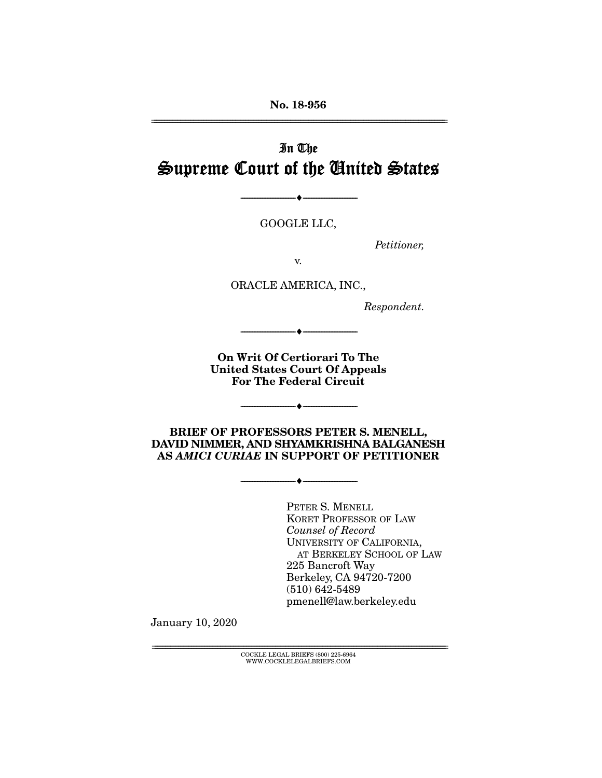No. 18-956 ================================================================================================================

# In The Supreme Court of the United States

GOOGLE LLC,

--------------------------------- ---------------------------------

*Petitioner,* 

v.

ORACLE AMERICA, INC.,

*Respondent.* 

On Writ Of Certiorari To The United States Court Of Appeals For The Federal Circuit

--------------------------------- ---------------------------------

--------------------------------- ---------------------------------

BRIEF OF PROFESSORS PETER S. MENELL, DAVID NIMMER, AND SHYAMKRISHNA BALGANESH AS *AMICI CURIAE* IN SUPPORT OF PETITIONER

--------------------------------- ---------------------------------

PETER S. MENELL KORET PROFESSOR OF LAW *Counsel of Record* UNIVERSITY OF CALIFORNIA, AT BERKELEY SCHOOL OF LAW 225 Bancroft Way Berkeley, CA 94720-7200 (510) 642-5489 pmenell@law.berkeley.edu

January 10, 2020

 ${ \rm COCKLE}$  LEGAL BRIEFS (800) 225-6964 WWW.COCKLELEGALBRIEFS.COM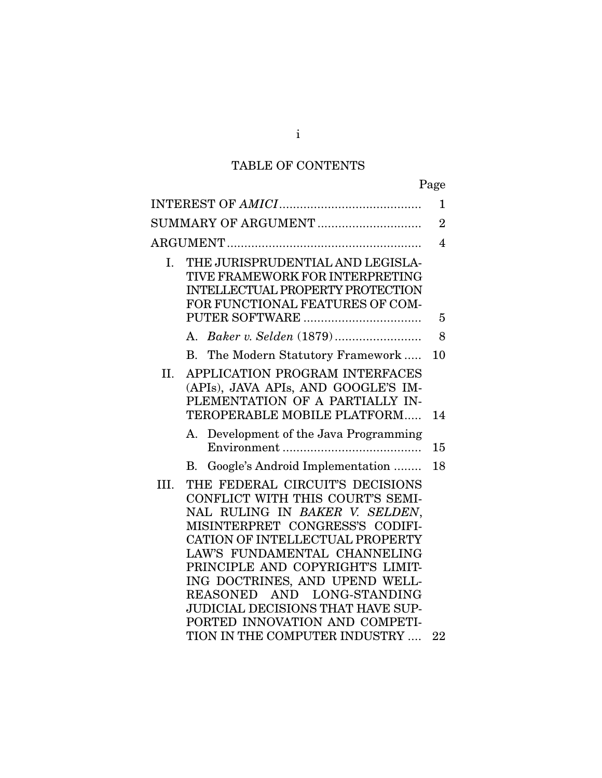# TABLE OF CONTENTS

|      |                                                                                                                                                                                                                                                                                                                                                                                               | $\mathbf{1}$   |
|------|-----------------------------------------------------------------------------------------------------------------------------------------------------------------------------------------------------------------------------------------------------------------------------------------------------------------------------------------------------------------------------------------------|----------------|
|      | SUMMARY OF ARGUMENT                                                                                                                                                                                                                                                                                                                                                                           | $\overline{2}$ |
|      |                                                                                                                                                                                                                                                                                                                                                                                               | 4              |
| I.   | THE JURISPRUDENTIAL AND LEGISLA-<br>TIVE FRAMEWORK FOR INTERPRETING<br><b>INTELLECTUAL PROPERTY PROTECTION</b><br>FOR FUNCTIONAL FEATURES OF COM-                                                                                                                                                                                                                                             | 5              |
|      |                                                                                                                                                                                                                                                                                                                                                                                               | 8              |
|      | B. The Modern Statutory Framework                                                                                                                                                                                                                                                                                                                                                             | 10             |
| II.  | APPLICATION PROGRAM INTERFACES<br>(APIs), JAVA APIs, AND GOOGLE'S IM-<br>PLEMENTATION OF A PARTIALLY IN-<br>TEROPERABLE MOBILE PLATFORM                                                                                                                                                                                                                                                       | 14             |
|      | Development of the Java Programming<br>А.                                                                                                                                                                                                                                                                                                                                                     | 15             |
|      | Google's Android Implementation<br>В.                                                                                                                                                                                                                                                                                                                                                         | 18             |
| III. | THE FEDERAL CIRCUIT'S DECISIONS<br>CONFLICT WITH THIS COURT'S SEMI-<br>NAL RULING IN BAKER V. SELDEN,<br>MISINTERPRET CONGRESS'S CODIFI-<br>CATION OF INTELLECTUAL PROPERTY<br>LAW'S FUNDAMENTAL CHANNELING<br>PRINCIPLE AND COPYRIGHT'S LIMIT-<br>ING DOCTRINES, AND UPEND WELL-<br>REASONED AND LONG-STANDING<br><b>JUDICIAL DECISIONS THAT HAVE SUP-</b><br>PORTED INNOVATION AND COMPETI- |                |
|      | TION IN THE COMPUTER INDUSTRY                                                                                                                                                                                                                                                                                                                                                                 | 22             |
|      |                                                                                                                                                                                                                                                                                                                                                                                               |                |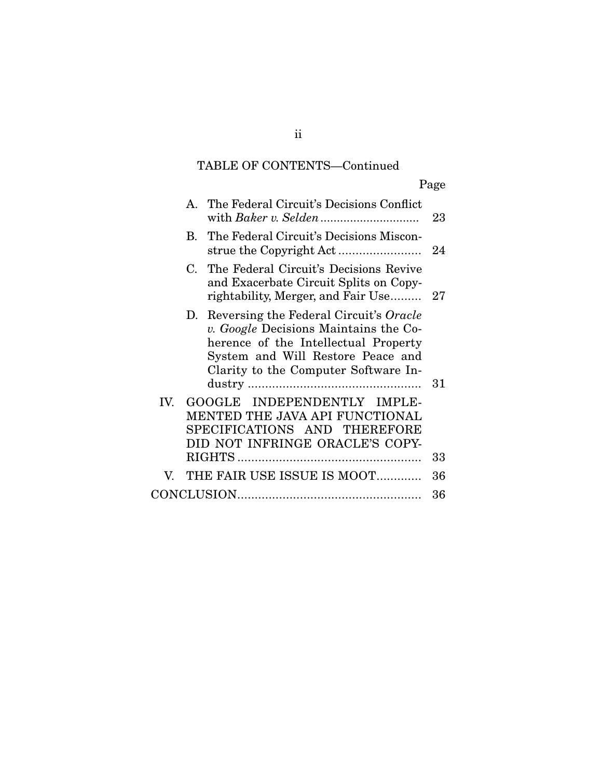# TABLE OF CONTENTS—Continued

Page

|     | A. The Federal Circuit's Decisions Conflict                                                                                                                                                             | 23 |
|-----|---------------------------------------------------------------------------------------------------------------------------------------------------------------------------------------------------------|----|
|     | B. The Federal Circuit's Decisions Miscon-                                                                                                                                                              | 24 |
|     | C. The Federal Circuit's Decisions Revive<br>and Exacerbate Circuit Splits on Copy-<br>rightability, Merger, and Fair Use 27                                                                            |    |
|     | D. Reversing the Federal Circuit's Oracle<br>v. Google Decisions Maintains the Co-<br>herence of the Intellectual Property<br>System and Will Restore Peace and<br>Clarity to the Computer Software In- | 31 |
| IV. | GOOGLE INDEPENDENTLY IMPLE-<br>MENTED THE JAVA API FUNCTIONAL<br>SPECIFICATIONS AND THEREFORE<br>DID NOT INFRINGE ORACLE'S COPY-                                                                        | 33 |
| V.  | THE FAIR USE ISSUE IS MOOT                                                                                                                                                                              | 36 |
|     |                                                                                                                                                                                                         | 36 |

ii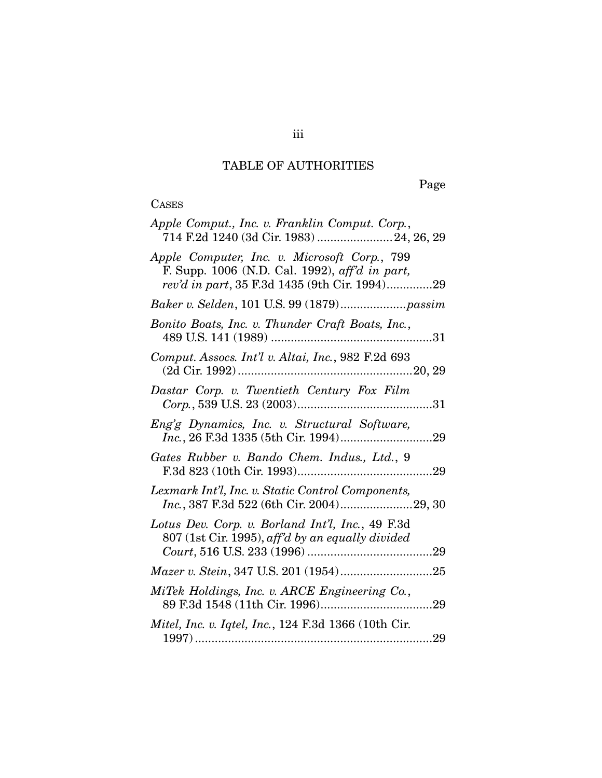# TABLE OF AUTHORITIES

Page

# CASES

| Apple Comput., Inc. v. Franklin Comput. Corp.,<br>714 F.2d 1240 (3d Cir. 1983)  24, 26, 29                                                      |  |
|-------------------------------------------------------------------------------------------------------------------------------------------------|--|
| Apple Computer, Inc. v. Microsoft Corp., 799<br>F. Supp. 1006 (N.D. Cal. 1992), aff'd in part,<br>rev'd in part, 35 F.3d 1435 (9th Cir. 1994)29 |  |
|                                                                                                                                                 |  |
| Bonito Boats, Inc. v. Thunder Craft Boats, Inc.,                                                                                                |  |
| Comput. Assocs. Int'l v. Altai, Inc., 982 F.2d 693                                                                                              |  |
| Dastar Corp. v. Twentieth Century Fox Film                                                                                                      |  |
| Eng'g Dynamics, Inc. v. Structural Software,                                                                                                    |  |
| Gates Rubber v. Bando Chem. Indus., Ltd., 9                                                                                                     |  |
| Lexmark Int'l, Inc. v. Static Control Components,<br>Inc., 387 F.3d 522 (6th Cir. 2004)29, 30                                                   |  |
| Lotus Dev. Corp. v. Borland Int'l, Inc., 49 F.3d<br>807 (1st Cir. 1995), aff'd by an equally divided                                            |  |
|                                                                                                                                                 |  |
| MiTek Holdings, Inc. v. ARCE Engineering Co.,                                                                                                   |  |
| Mitel, Inc. v. Iqtel, Inc., 124 F.3d 1366 (10th Cir.                                                                                            |  |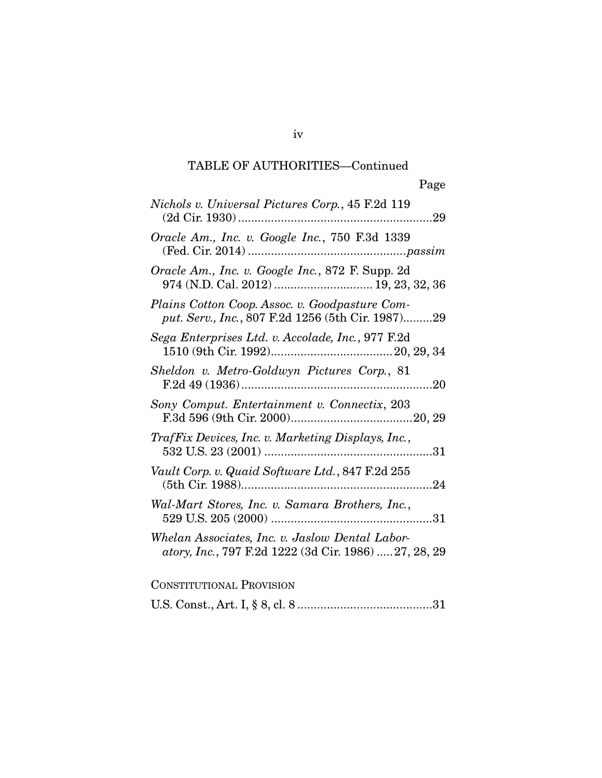| Nichols v. Universal Pictures Corp., 45 F.2d 119                                                         |
|----------------------------------------------------------------------------------------------------------|
| Oracle Am., Inc. v. Google Inc., 750 F.3d 1339                                                           |
| Oracle Am., Inc. v. Google Inc., 872 F. Supp. 2d<br>974 (N.D. Cal. 2012)  19, 23, 32, 36                 |
| Plains Cotton Coop. Assoc. v. Goodpasture Com-<br>put. Serv., Inc., 807 F.2d 1256 (5th Cir. 1987)29      |
| Sega Enterprises Ltd. v. Accolade, Inc., 977 F.2d                                                        |
| Sheldon v. Metro-Goldwyn Pictures Corp., 81                                                              |
| Sony Comput. Entertainment v. Connectix, 203                                                             |
| TrafFix Devices, Inc. v. Marketing Displays, Inc.,                                                       |
| Vault Corp. v. Quaid Software Ltd., 847 F.2d 255                                                         |
| Wal-Mart Stores, Inc. v. Samara Brothers, Inc.,                                                          |
| Whelan Associates, Inc. v. Jaslow Dental Labor-<br>atory, Inc., 797 F.2d 1222 (3d Cir. 1986)  27, 28, 29 |
| <b>CONSTITUTIONAL PROVISION</b>                                                                          |

U.S. Const., Art. I, § 8, cl. 8 ......................................... 31

iv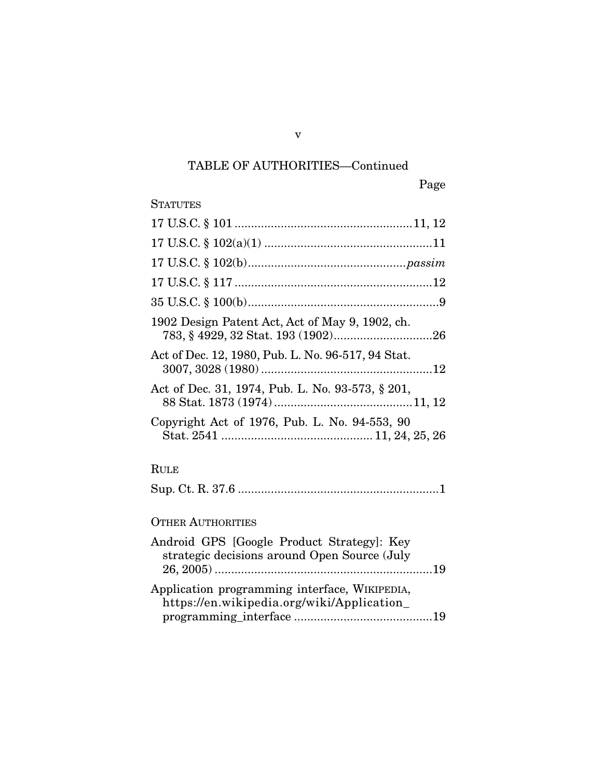# Page

## **STATUTES**

| 1902 Design Patent Act, Act of May 9, 1902, ch.                                             |
|---------------------------------------------------------------------------------------------|
| Act of Dec. 12, 1980, Pub. L. No. 96-517, 94 Stat.                                          |
| Act of Dec. 31, 1974, Pub. L. No. 93-573, § 201,                                            |
| Copyright Act of 1976, Pub. L. No. 94-553, 90                                               |
| <b>RULE</b>                                                                                 |
|                                                                                             |
| <b>OTHER AUTHORITIES</b>                                                                    |
| Android GPS [Google Product Strategy]: Key<br>strategic decisions around Open Source (July  |
| Application programming interface, WIKIPEDIA,<br>https://en.wikipedia.org/wiki/Application_ |

v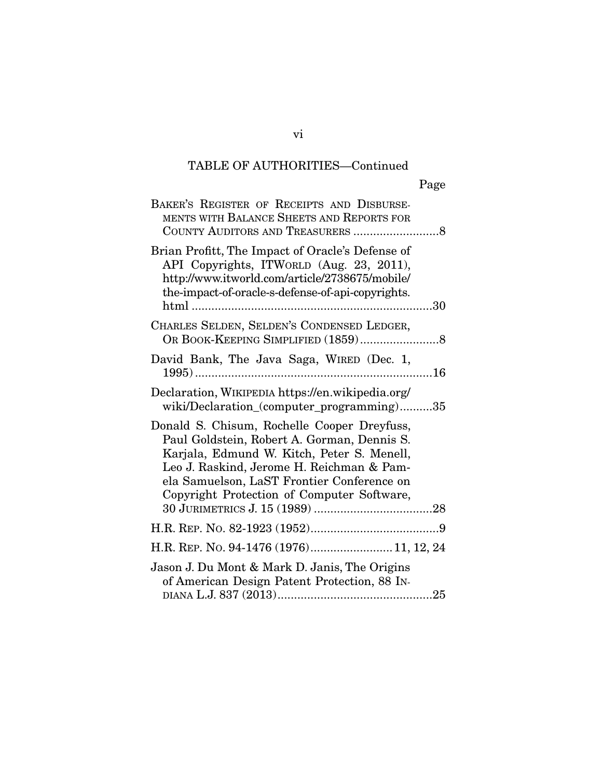| BAKER'S REGISTER OF RECEIPTS AND DISBURSE-<br>MENTS WITH BALANCE SHEETS AND REPORTS FOR                                                                                                                                                                                           |
|-----------------------------------------------------------------------------------------------------------------------------------------------------------------------------------------------------------------------------------------------------------------------------------|
| Brian Profitt, The Impact of Oracle's Defense of<br>API Copyrights, ITWORLD (Aug. 23, 2011),<br>http://www.itworld.com/article/2738675/mobile/<br>the-impact-of-oracle-s-defense-of-api-copyrights.                                                                               |
| CHARLES SELDEN, SELDEN'S CONDENSED LEDGER,                                                                                                                                                                                                                                        |
| David Bank, The Java Saga, WIRED (Dec. 1,                                                                                                                                                                                                                                         |
| Declaration, WIKIPEDIA https://en.wikipedia.org/<br>wiki/Declaration_(computer_programming)35                                                                                                                                                                                     |
| Donald S. Chisum, Rochelle Cooper Dreyfuss,<br>Paul Goldstein, Robert A. Gorman, Dennis S.<br>Karjala, Edmund W. Kitch, Peter S. Menell,<br>Leo J. Raskind, Jerome H. Reichman & Pam-<br>ela Samuelson, LaST Frontier Conference on<br>Copyright Protection of Computer Software, |
|                                                                                                                                                                                                                                                                                   |
| H.R. REP. No. 94-1476 (1976) 11, 12, 24                                                                                                                                                                                                                                           |
| Jason J. Du Mont & Mark D. Janis, The Origins<br>of American Design Patent Protection, 88 IN-                                                                                                                                                                                     |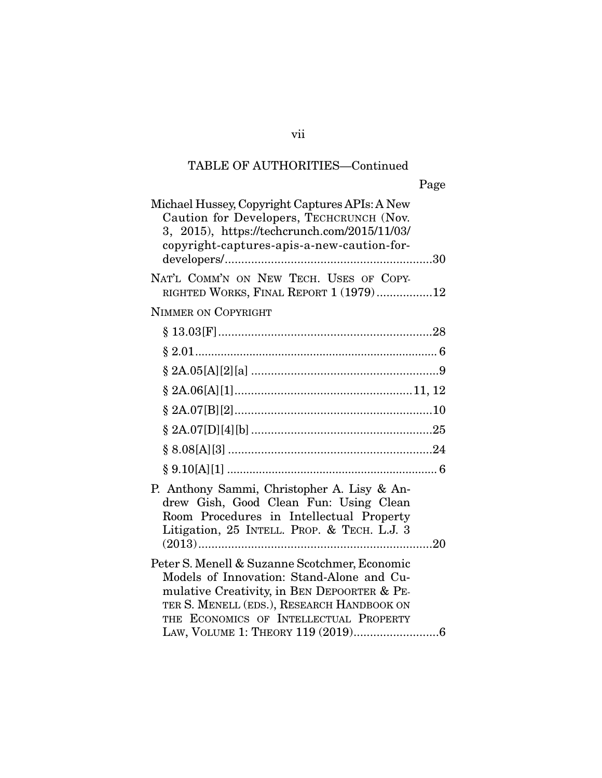vii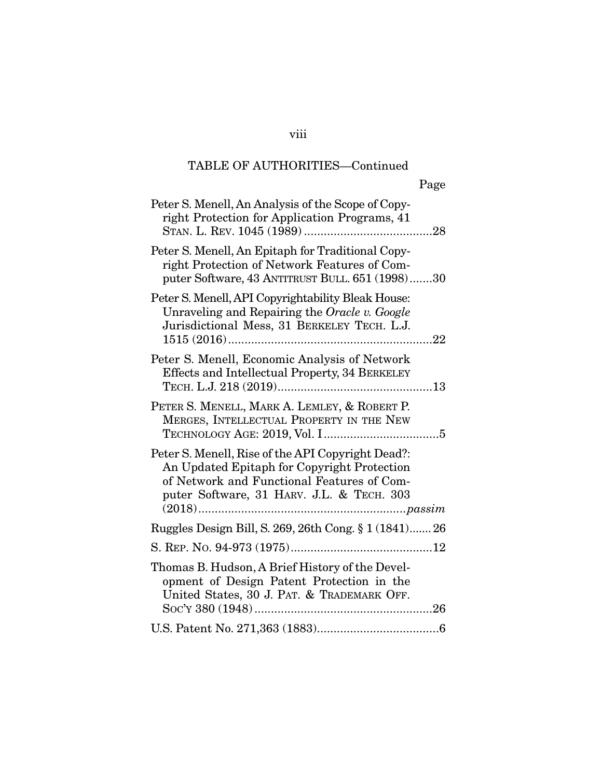| Page                                                                                                                                                                                        |
|---------------------------------------------------------------------------------------------------------------------------------------------------------------------------------------------|
| Peter S. Menell, An Analysis of the Scope of Copy-<br>right Protection for Application Programs, 41                                                                                         |
| Peter S. Menell, An Epitaph for Traditional Copy-<br>right Protection of Network Features of Com-<br>puter Software, 43 ANTITRUST BULL. 651 (1998)30                                        |
| Peter S. Menell, API Copyrightability Bleak House:<br>Unraveling and Repairing the Oracle v. Google<br>Jurisdictional Mess, 31 BERKELEY TECH. L.J.<br>$\dots 22$                            |
| Peter S. Menell, Economic Analysis of Network<br>Effects and Intellectual Property, 34 BERKELEY                                                                                             |
| PETER S. MENELL, MARK A. LEMLEY, & ROBERT P.<br>MERGES, INTELLECTUAL PROPERTY IN THE NEW                                                                                                    |
| Peter S. Menell, Rise of the API Copyright Dead?:<br>An Updated Epitaph for Copyright Protection<br>of Network and Functional Features of Com-<br>puter Software, 31 HARV. J.L. & TECH. 303 |
| Ruggles Design Bill, S. 269, 26th Cong. § 1 (1841) 26                                                                                                                                       |
|                                                                                                                                                                                             |
| Thomas B. Hudson, A Brief History of the Devel-<br>opment of Design Patent Protection in the<br>United States, 30 J. PAT. & TRADEMARK OFF.                                                  |
|                                                                                                                                                                                             |

## viii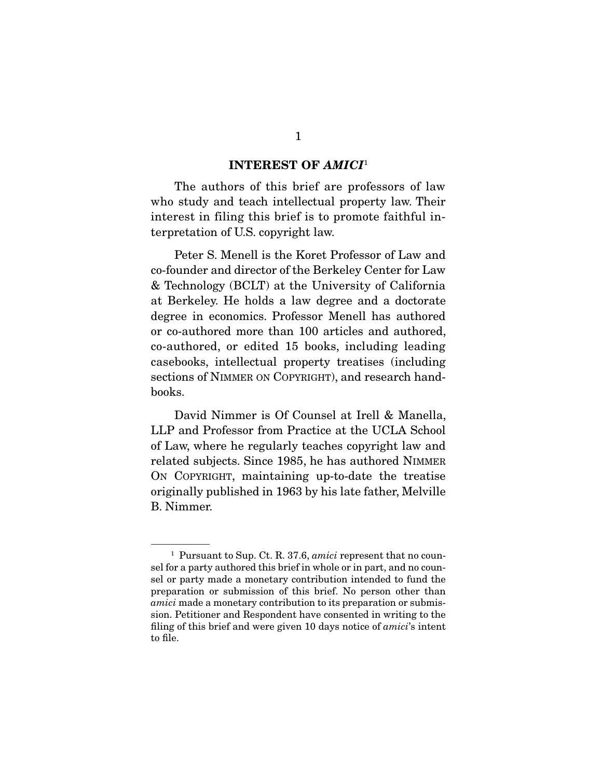#### INTEREST OF *AMICI*<sup>1</sup>

 The authors of this brief are professors of law who study and teach intellectual property law. Their interest in filing this brief is to promote faithful interpretation of U.S. copyright law.

 Peter S. Menell is the Koret Professor of Law and co-founder and director of the Berkeley Center for Law & Technology (BCLT) at the University of California at Berkeley. He holds a law degree and a doctorate degree in economics. Professor Menell has authored or co-authored more than 100 articles and authored, co-authored, or edited 15 books, including leading casebooks, intellectual property treatises (including sections of NIMMER ON COPYRIGHT), and research handbooks.

 David Nimmer is Of Counsel at Irell & Manella, LLP and Professor from Practice at the UCLA School of Law, where he regularly teaches copyright law and related subjects. Since 1985, he has authored NIMMER ON COPYRIGHT, maintaining up-to-date the treatise originally published in 1963 by his late father, Melville B. Nimmer.

<sup>1</sup> Pursuant to Sup. Ct. R. 37.6, *amici* represent that no counsel for a party authored this brief in whole or in part, and no counsel or party made a monetary contribution intended to fund the preparation or submission of this brief. No person other than *amici* made a monetary contribution to its preparation or submission. Petitioner and Respondent have consented in writing to the filing of this brief and were given 10 days notice of *amici*'s intent to file.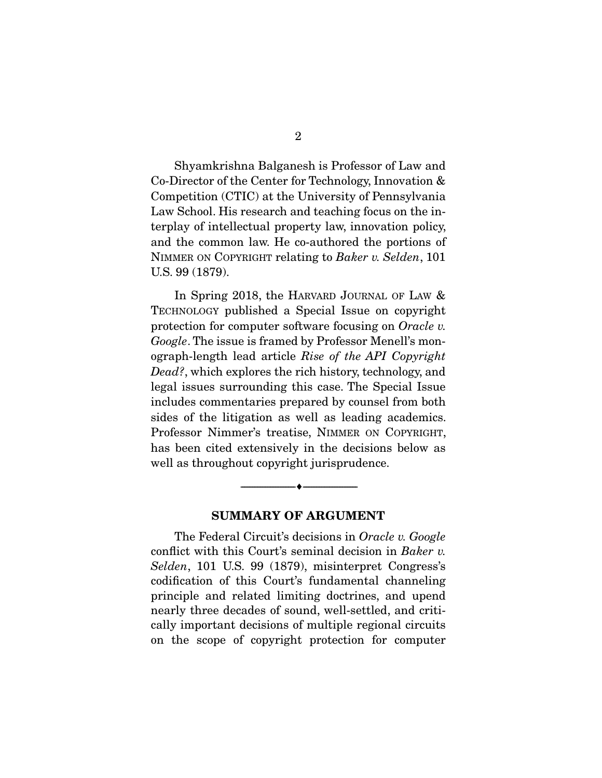Shyamkrishna Balganesh is Professor of Law and Co-Director of the Center for Technology, Innovation & Competition (CTIC) at the University of Pennsylvania Law School. His research and teaching focus on the interplay of intellectual property law, innovation policy, and the common law. He co-authored the portions of NIMMER ON COPYRIGHT relating to *Baker v. Selden*, 101 U.S. 99 (1879).

In Spring 2018, the HARVARD JOURNAL OF LAW & TECHNOLOGY published a Special Issue on copyright protection for computer software focusing on *Oracle v. Google*. The issue is framed by Professor Menell's monograph-length lead article *Rise of the API Copyright Dead?*, which explores the rich history, technology, and legal issues surrounding this case. The Special Issue includes commentaries prepared by counsel from both sides of the litigation as well as leading academics. Professor Nimmer's treatise, NIMMER ON COPYRIGHT, has been cited extensively in the decisions below as well as throughout copyright jurisprudence.

#### SUMMARY OF ARGUMENT

--------------------------------- ---------------------------------

 The Federal Circuit's decisions in *Oracle v. Google* conflict with this Court's seminal decision in *Baker v. Selden*, 101 U.S. 99 (1879), misinterpret Congress's codification of this Court's fundamental channeling principle and related limiting doctrines, and upend nearly three decades of sound, well-settled, and critically important decisions of multiple regional circuits on the scope of copyright protection for computer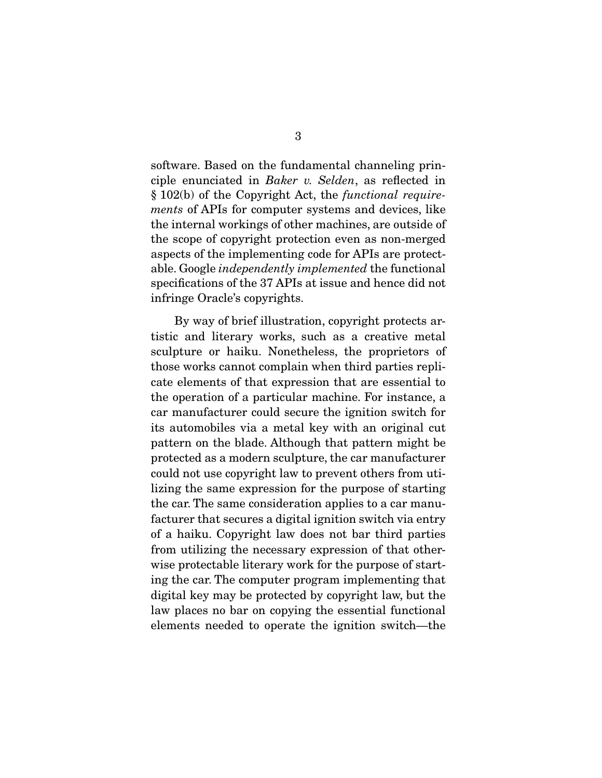software. Based on the fundamental channeling principle enunciated in *Baker v. Selden*, as reflected in § 102(b) of the Copyright Act, the *functional requirements* of APIs for computer systems and devices, like the internal workings of other machines, are outside of the scope of copyright protection even as non-merged aspects of the implementing code for APIs are protectable. Google *independently implemented* the functional specifications of the 37 APIs at issue and hence did not infringe Oracle's copyrights.

 By way of brief illustration, copyright protects artistic and literary works, such as a creative metal sculpture or haiku. Nonetheless, the proprietors of those works cannot complain when third parties replicate elements of that expression that are essential to the operation of a particular machine. For instance, a car manufacturer could secure the ignition switch for its automobiles via a metal key with an original cut pattern on the blade. Although that pattern might be protected as a modern sculpture, the car manufacturer could not use copyright law to prevent others from utilizing the same expression for the purpose of starting the car. The same consideration applies to a car manufacturer that secures a digital ignition switch via entry of a haiku. Copyright law does not bar third parties from utilizing the necessary expression of that otherwise protectable literary work for the purpose of starting the car. The computer program implementing that digital key may be protected by copyright law, but the law places no bar on copying the essential functional elements needed to operate the ignition switch—the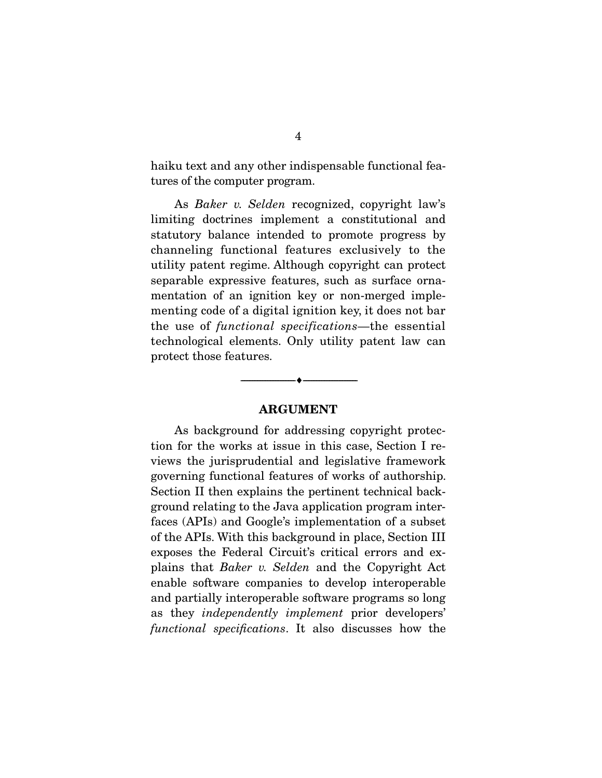haiku text and any other indispensable functional features of the computer program.

 As *Baker v. Selden* recognized, copyright law's limiting doctrines implement a constitutional and statutory balance intended to promote progress by channeling functional features exclusively to the utility patent regime. Although copyright can protect separable expressive features, such as surface ornamentation of an ignition key or non-merged implementing code of a digital ignition key, it does not bar the use of *functional specifications*—the essential technological elements. Only utility patent law can protect those features.

#### ARGUMENT

--------------------------------- ---------------------------------

 As background for addressing copyright protection for the works at issue in this case, Section I reviews the jurisprudential and legislative framework governing functional features of works of authorship. Section II then explains the pertinent technical background relating to the Java application program interfaces (APIs) and Google's implementation of a subset of the APIs. With this background in place, Section III exposes the Federal Circuit's critical errors and explains that *Baker v. Selden* and the Copyright Act enable software companies to develop interoperable and partially interoperable software programs so long as they *independently implement* prior developers' *functional specifications*. It also discusses how the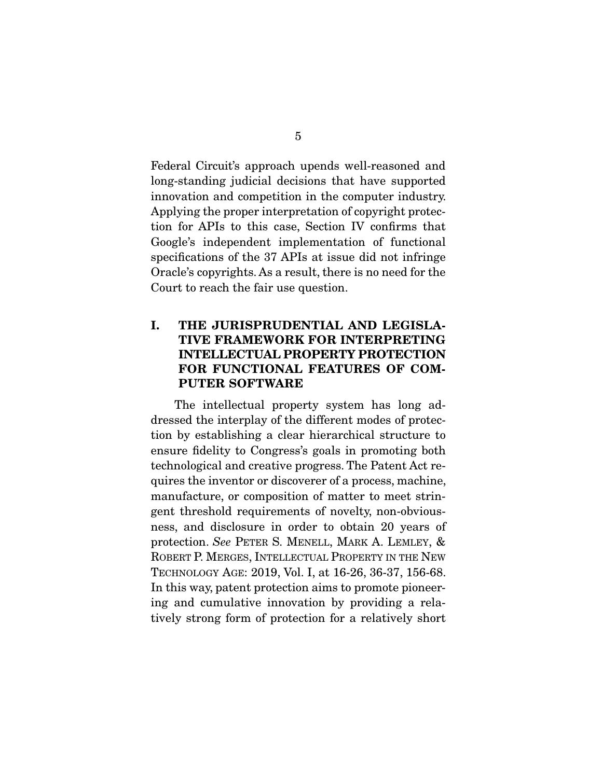Federal Circuit's approach upends well-reasoned and long-standing judicial decisions that have supported innovation and competition in the computer industry. Applying the proper interpretation of copyright protection for APIs to this case, Section IV confirms that Google's independent implementation of functional specifications of the 37 APIs at issue did not infringe Oracle's copyrights. As a result, there is no need for the Court to reach the fair use question.

## I. THE JURISPRUDENTIAL AND LEGISLA-TIVE FRAMEWORK FOR INTERPRETING INTELLECTUAL PROPERTY PROTECTION FOR FUNCTIONAL FEATURES OF COM-PUTER SOFTWARE

 The intellectual property system has long addressed the interplay of the different modes of protection by establishing a clear hierarchical structure to ensure fidelity to Congress's goals in promoting both technological and creative progress. The Patent Act requires the inventor or discoverer of a process, machine, manufacture, or composition of matter to meet stringent threshold requirements of novelty, non-obviousness, and disclosure in order to obtain 20 years of protection. *See* PETER S. MENELL, MARK A. LEMLEY, & ROBERT P. MERGES, INTELLECTUAL PROPERTY IN THE NEW TECHNOLOGY AGE: 2019, Vol. I, at 16-26, 36-37, 156-68. In this way, patent protection aims to promote pioneering and cumulative innovation by providing a relatively strong form of protection for a relatively short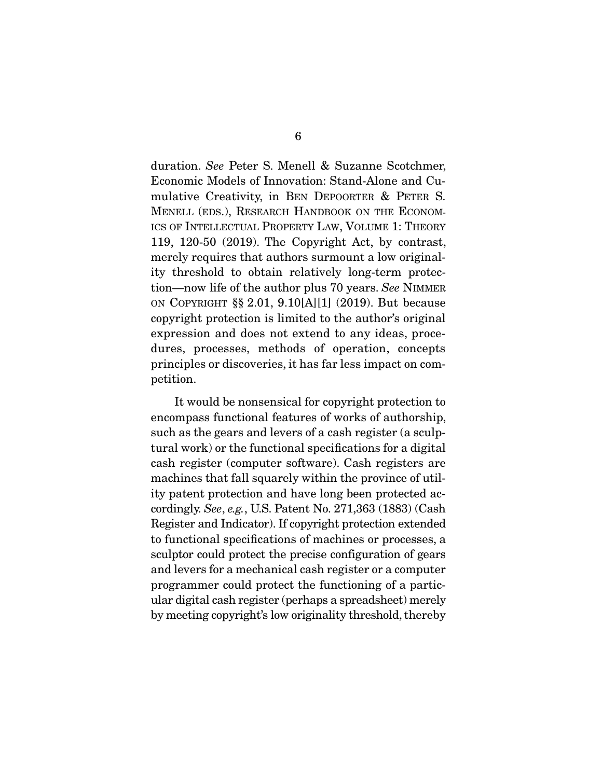duration. *See* Peter S. Menell & Suzanne Scotchmer, Economic Models of Innovation: Stand-Alone and Cumulative Creativity, in BEN DEPOORTER & PETER S. MENELL (EDS.), RESEARCH HANDBOOK ON THE ECONOM-ICS OF INTELLECTUAL PROPERTY LAW, VOLUME 1: THEORY 119, 120-50 (2019). The Copyright Act, by contrast, merely requires that authors surmount a low originality threshold to obtain relatively long-term protection—now life of the author plus 70 years. *See* NIMMER ON COPYRIGHT §§ 2.01, 9.10[A][1] (2019). But because copyright protection is limited to the author's original expression and does not extend to any ideas, procedures, processes, methods of operation, concepts principles or discoveries, it has far less impact on competition.

 It would be nonsensical for copyright protection to encompass functional features of works of authorship, such as the gears and levers of a cash register (a sculptural work) or the functional specifications for a digital cash register (computer software). Cash registers are machines that fall squarely within the province of utility patent protection and have long been protected accordingly. *See*, *e.g.*, U.S. Patent No. 271,363 (1883) (Cash Register and Indicator). If copyright protection extended to functional specifications of machines or processes, a sculptor could protect the precise configuration of gears and levers for a mechanical cash register or a computer programmer could protect the functioning of a particular digital cash register (perhaps a spreadsheet) merely by meeting copyright's low originality threshold, thereby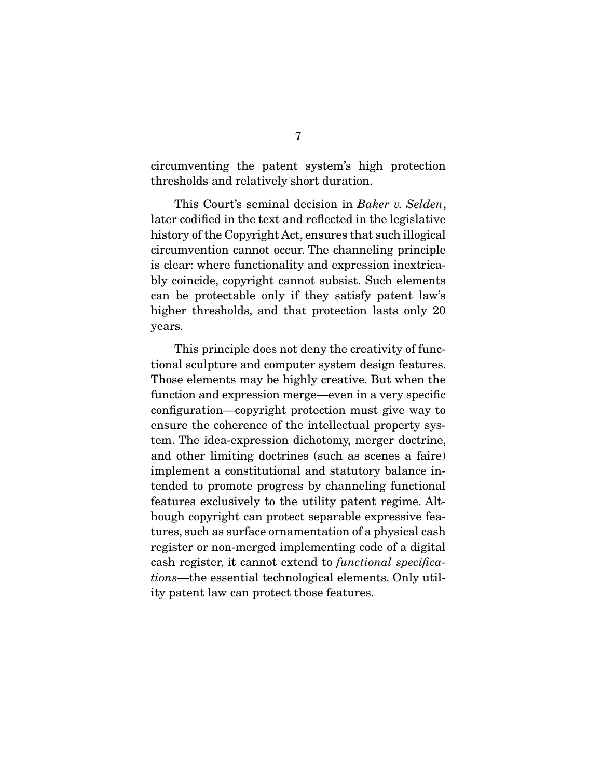circumventing the patent system's high protection thresholds and relatively short duration.

 This Court's seminal decision in *Baker v. Selden*, later codified in the text and reflected in the legislative history of the Copyright Act, ensures that such illogical circumvention cannot occur. The channeling principle is clear: where functionality and expression inextricably coincide, copyright cannot subsist. Such elements can be protectable only if they satisfy patent law's higher thresholds, and that protection lasts only 20 years.

 This principle does not deny the creativity of functional sculpture and computer system design features. Those elements may be highly creative. But when the function and expression merge—even in a very specific configuration—copyright protection must give way to ensure the coherence of the intellectual property system. The idea-expression dichotomy, merger doctrine, and other limiting doctrines (such as scenes a faire) implement a constitutional and statutory balance intended to promote progress by channeling functional features exclusively to the utility patent regime. Although copyright can protect separable expressive features, such as surface ornamentation of a physical cash register or non-merged implementing code of a digital cash register, it cannot extend to *functional specifications*—the essential technological elements. Only utility patent law can protect those features.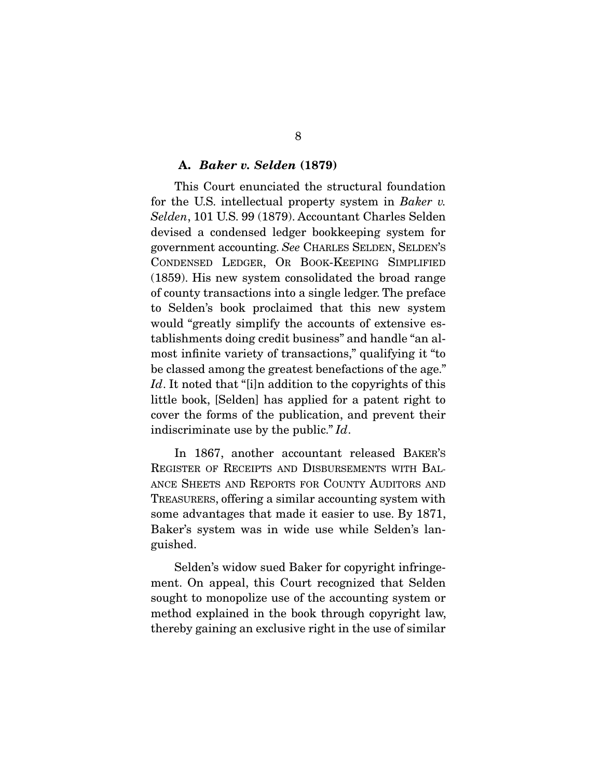#### A. *Baker v. Selden* (1879)

 This Court enunciated the structural foundation for the U.S. intellectual property system in *Baker v. Selden*, 101 U.S. 99 (1879). Accountant Charles Selden devised a condensed ledger bookkeeping system for government accounting. *See* CHARLES SELDEN, SELDEN'S CONDENSED LEDGER, OR BOOK-KEEPING SIMPLIFIED (1859). His new system consolidated the broad range of county transactions into a single ledger. The preface to Selden's book proclaimed that this new system would "greatly simplify the accounts of extensive establishments doing credit business" and handle "an almost infinite variety of transactions," qualifying it "to be classed among the greatest benefactions of the age." Id. It noted that "[i]n addition to the copyrights of this little book, [Selden] has applied for a patent right to cover the forms of the publication, and prevent their indiscriminate use by the public." *Id*.

 In 1867, another accountant released BAKER'S REGISTER OF RECEIPTS AND DISBURSEMENTS WITH BAL-ANCE SHEETS AND REPORTS FOR COUNTY AUDITORS AND TREASURERS, offering a similar accounting system with some advantages that made it easier to use. By 1871, Baker's system was in wide use while Selden's languished.

 Selden's widow sued Baker for copyright infringement. On appeal, this Court recognized that Selden sought to monopolize use of the accounting system or method explained in the book through copyright law, thereby gaining an exclusive right in the use of similar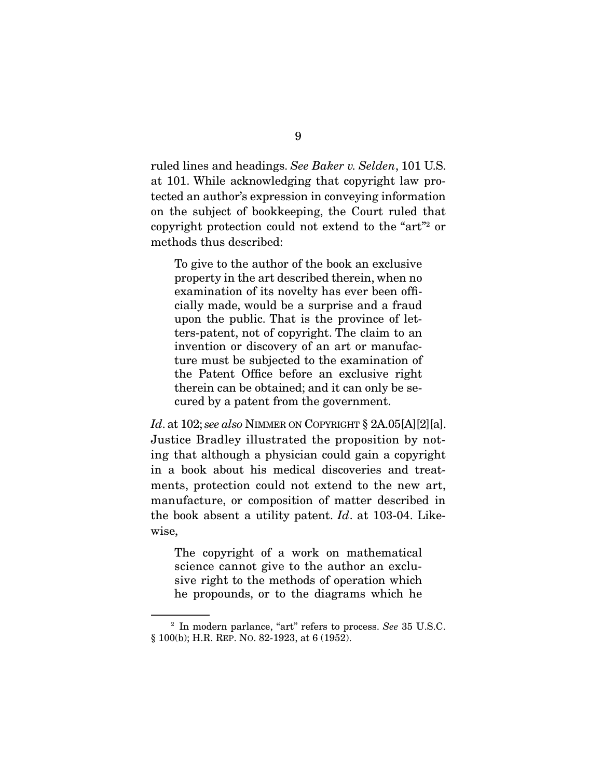ruled lines and headings. *See Baker v. Selden*, 101 U.S. at 101. While acknowledging that copyright law protected an author's expression in conveying information on the subject of bookkeeping, the Court ruled that copyright protection could not extend to the "art"2 or methods thus described:

To give to the author of the book an exclusive property in the art described therein, when no examination of its novelty has ever been officially made, would be a surprise and a fraud upon the public. That is the province of letters-patent, not of copyright. The claim to an invention or discovery of an art or manufacture must be subjected to the examination of the Patent Office before an exclusive right therein can be obtained; and it can only be secured by a patent from the government.

*Id*. at 102; *see also* NIMMER ON COPYRIGHT § 2A.05[A][2][a]. Justice Bradley illustrated the proposition by noting that although a physician could gain a copyright in a book about his medical discoveries and treatments, protection could not extend to the new art, manufacture, or composition of matter described in the book absent a utility patent. *Id*. at 103-04. Likewise,

The copyright of a work on mathematical science cannot give to the author an exclusive right to the methods of operation which he propounds, or to the diagrams which he

<sup>2</sup> In modern parlance, "art" refers to process. *See* 35 U.S.C. § 100(b); H.R. REP. NO. 82-1923, at 6 (1952).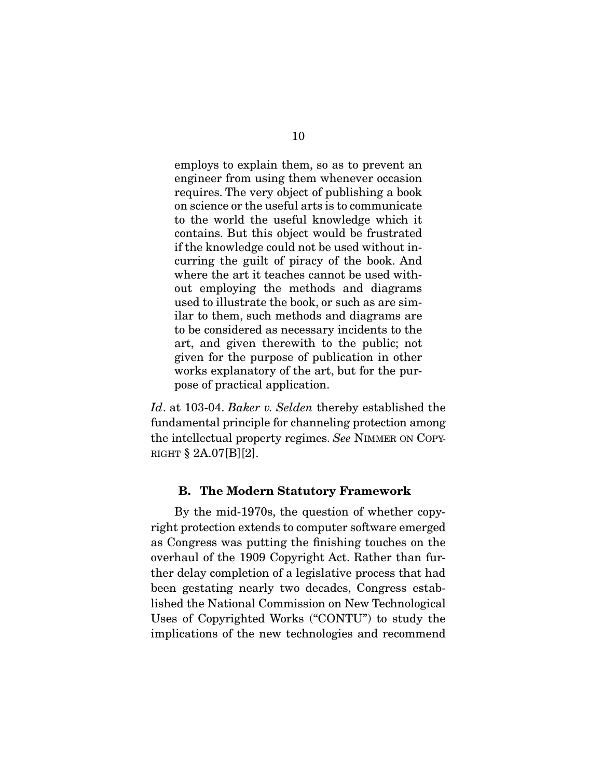employs to explain them, so as to prevent an engineer from using them whenever occasion requires. The very object of publishing a book on science or the useful arts is to communicate to the world the useful knowledge which it contains. But this object would be frustrated if the knowledge could not be used without incurring the guilt of piracy of the book. And where the art it teaches cannot be used without employing the methods and diagrams used to illustrate the book, or such as are similar to them, such methods and diagrams are to be considered as necessary incidents to the art, and given therewith to the public; not given for the purpose of publication in other works explanatory of the art, but for the purpose of practical application.

*Id*. at 103-04. *Baker v. Selden* thereby established the fundamental principle for channeling protection among the intellectual property regimes. *See* NIMMER ON COPY-RIGHT  $\S 2A.07[B][2]$ .

### B. The Modern Statutory Framework

 By the mid-1970s, the question of whether copyright protection extends to computer software emerged as Congress was putting the finishing touches on the overhaul of the 1909 Copyright Act. Rather than further delay completion of a legislative process that had been gestating nearly two decades, Congress established the National Commission on New Technological Uses of Copyrighted Works ("CONTU") to study the implications of the new technologies and recommend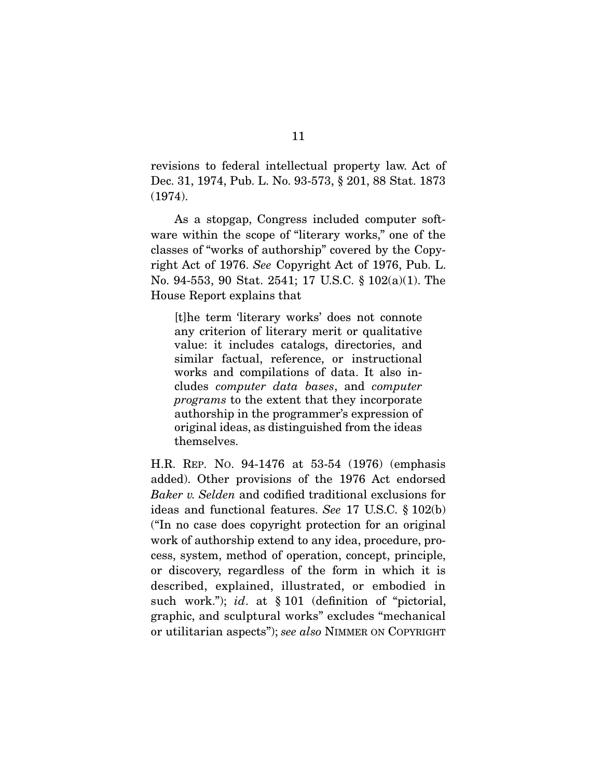revisions to federal intellectual property law. Act of Dec. 31, 1974, Pub. L. No. 93-573, § 201, 88 Stat. 1873 (1974).

 As a stopgap, Congress included computer software within the scope of "literary works," one of the classes of "works of authorship" covered by the Copyright Act of 1976. *See* Copyright Act of 1976, Pub. L. No. 94-553, 90 Stat. 2541; 17 U.S.C. § 102(a)(1). The House Report explains that

[t]he term 'literary works' does not connote any criterion of literary merit or qualitative value: it includes catalogs, directories, and similar factual, reference, or instructional works and compilations of data. It also includes *computer data bases*, and *computer programs* to the extent that they incorporate authorship in the programmer's expression of original ideas, as distinguished from the ideas themselves.

H.R. REP. NO. 94-1476 at 53-54 (1976) (emphasis added). Other provisions of the 1976 Act endorsed *Baker v. Selden* and codified traditional exclusions for ideas and functional features. *See* 17 U.S.C. § 102(b) ("In no case does copyright protection for an original work of authorship extend to any idea, procedure, process, system, method of operation, concept, principle, or discovery, regardless of the form in which it is described, explained, illustrated, or embodied in such work."); *id*. at § 101 (definition of "pictorial, graphic, and sculptural works" excludes "mechanical or utilitarian aspects"); *see also* NIMMER ON COPYRIGHT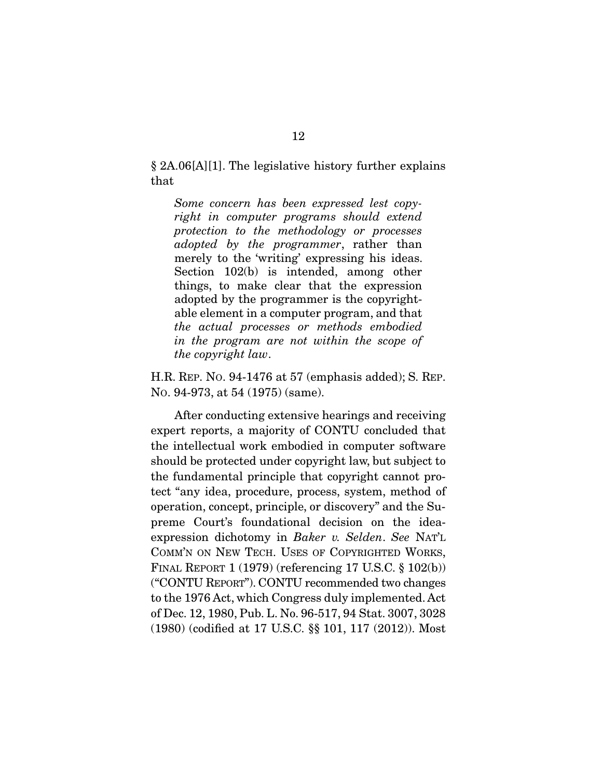§ 2A.06[A][1]. The legislative history further explains that

*Some concern has been expressed lest copyright in computer programs should extend protection to the methodology or processes adopted by the programmer*, rather than merely to the 'writing' expressing his ideas. Section 102(b) is intended, among other things, to make clear that the expression adopted by the programmer is the copyrightable element in a computer program, and that *the actual processes or methods embodied in the program are not within the scope of the copyright law*.

H.R. REP. NO. 94-1476 at 57 (emphasis added); S. REP. NO. 94-973, at 54 (1975) (same).

 After conducting extensive hearings and receiving expert reports, a majority of CONTU concluded that the intellectual work embodied in computer software should be protected under copyright law, but subject to the fundamental principle that copyright cannot protect "any idea, procedure, process, system, method of operation, concept, principle, or discovery" and the Supreme Court's foundational decision on the ideaexpression dichotomy in *Baker v. Selden*. *See* NAT'L COMM'N ON NEW TECH. USES OF COPYRIGHTED WORKS, FINAL REPORT 1 (1979) (referencing 17 U.S.C. § 102(b)) ("CONTU REPORT"). CONTU recommended two changes to the 1976 Act, which Congress duly implemented. Act of Dec. 12, 1980, Pub. L. No. 96-517, 94 Stat. 3007, 3028 (1980) (codified at 17 U.S.C. §§ 101, 117 (2012)). Most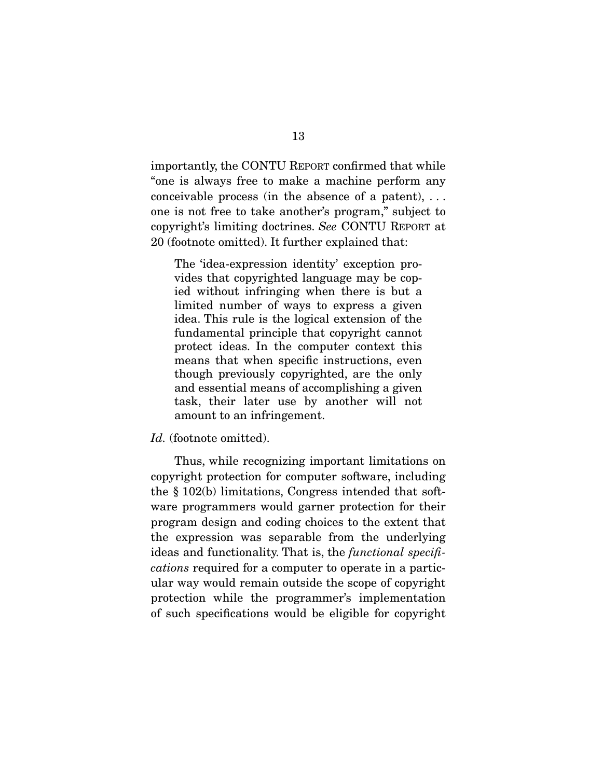importantly, the CONTU REPORT confirmed that while "one is always free to make a machine perform any conceivable process (in the absence of a patent), . . . one is not free to take another's program," subject to copyright's limiting doctrines. *See* CONTU REPORT at 20 (footnote omitted). It further explained that:

The 'idea-expression identity' exception provides that copyrighted language may be copied without infringing when there is but a limited number of ways to express a given idea. This rule is the logical extension of the fundamental principle that copyright cannot protect ideas. In the computer context this means that when specific instructions, even though previously copyrighted, are the only and essential means of accomplishing a given task, their later use by another will not amount to an infringement.

#### *Id.* (footnote omitted).

 Thus, while recognizing important limitations on copyright protection for computer software, including the § 102(b) limitations, Congress intended that software programmers would garner protection for their program design and coding choices to the extent that the expression was separable from the underlying ideas and functionality. That is, the *functional specifications* required for a computer to operate in a particular way would remain outside the scope of copyright protection while the programmer's implementation of such specifications would be eligible for copyright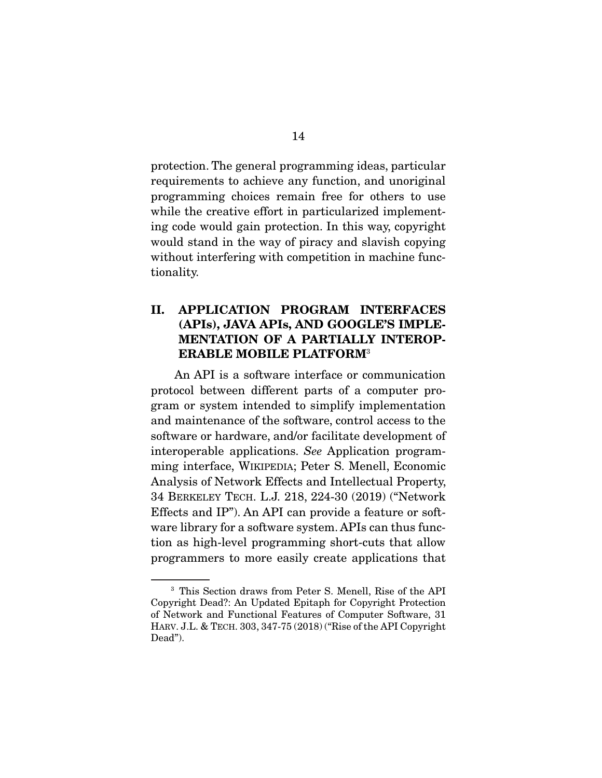protection. The general programming ideas, particular requirements to achieve any function, and unoriginal programming choices remain free for others to use while the creative effort in particularized implementing code would gain protection. In this way, copyright would stand in the way of piracy and slavish copying without interfering with competition in machine functionality.

## II. APPLICATION PROGRAM INTERFACES (APIs), JAVA APIs, AND GOOGLE'S IMPLE-MENTATION OF A PARTIALLY INTEROP-ERABLE MOBILE PLATFORM<sup>3</sup>

 An API is a software interface or communication protocol between different parts of a computer program or system intended to simplify implementation and maintenance of the software, control access to the software or hardware, and/or facilitate development of interoperable applications. *See* Application programming interface, WIKIPEDIA; Peter S. Menell, Economic Analysis of Network Effects and Intellectual Property, 34 BERKELEY TECH. L.J. 218, 224-30 (2019) ("Network Effects and IP"). An API can provide a feature or software library for a software system. APIs can thus function as high-level programming short-cuts that allow programmers to more easily create applications that

<sup>3</sup> This Section draws from Peter S. Menell, Rise of the API Copyright Dead?: An Updated Epitaph for Copyright Protection of Network and Functional Features of Computer Software, 31 HARV. J.L. & TECH. 303, 347-75 (2018) ("Rise of the API Copyright Dead").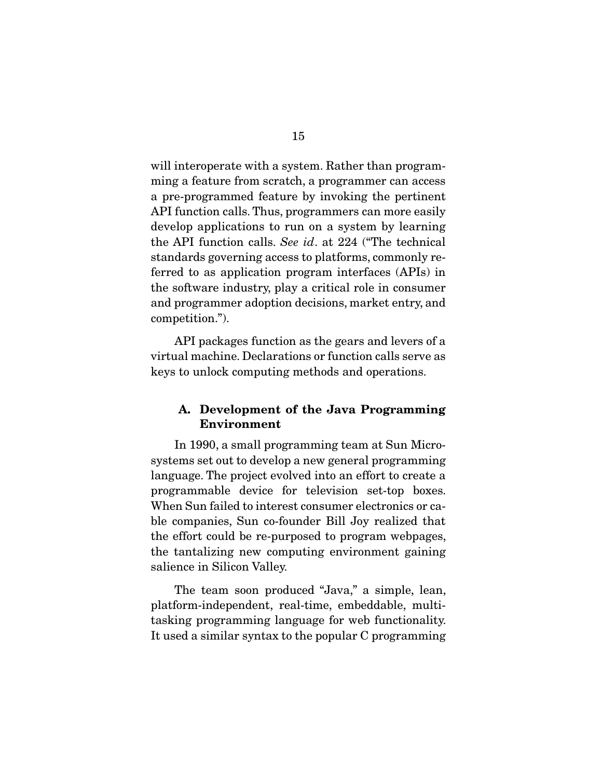will interoperate with a system. Rather than programming a feature from scratch, a programmer can access a pre-programmed feature by invoking the pertinent API function calls. Thus, programmers can more easily develop applications to run on a system by learning the API function calls. *See id*. at 224 ("The technical standards governing access to platforms, commonly referred to as application program interfaces (APIs) in the software industry, play a critical role in consumer and programmer adoption decisions, market entry, and competition.").

 API packages function as the gears and levers of a virtual machine. Declarations or function calls serve as keys to unlock computing methods and operations.

## A. Development of the Java Programming Environment

 In 1990, a small programming team at Sun Microsystems set out to develop a new general programming language. The project evolved into an effort to create a programmable device for television set-top boxes. When Sun failed to interest consumer electronics or cable companies, Sun co-founder Bill Joy realized that the effort could be re-purposed to program webpages, the tantalizing new computing environment gaining salience in Silicon Valley.

 The team soon produced "Java," a simple, lean, platform-independent, real-time, embeddable, multitasking programming language for web functionality. It used a similar syntax to the popular C programming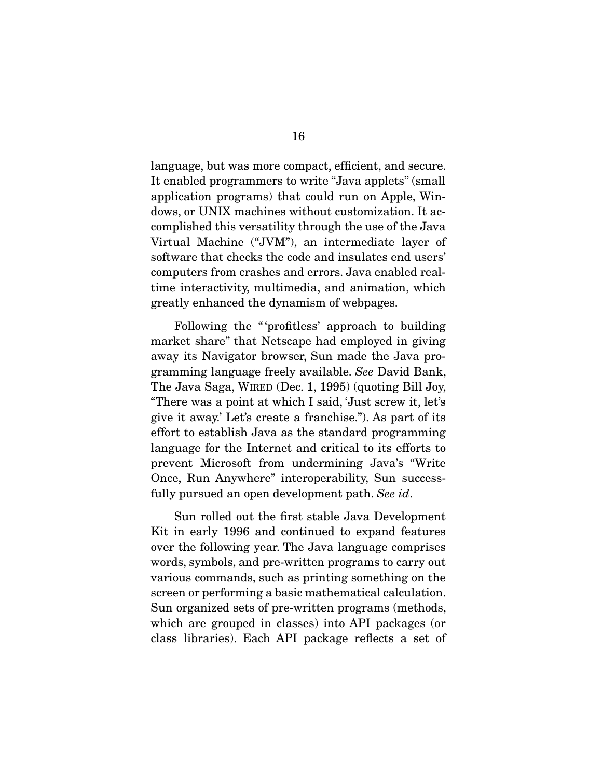language, but was more compact, efficient, and secure. It enabled programmers to write "Java applets" (small application programs) that could run on Apple, Windows, or UNIX machines without customization. It accomplished this versatility through the use of the Java Virtual Machine ("JVM"), an intermediate layer of software that checks the code and insulates end users' computers from crashes and errors. Java enabled realtime interactivity, multimedia, and animation, which greatly enhanced the dynamism of webpages.

 Following the " 'profitless' approach to building market share" that Netscape had employed in giving away its Navigator browser, Sun made the Java programming language freely available. *See* David Bank, The Java Saga, WIRED (Dec. 1, 1995) (quoting Bill Joy, "There was a point at which I said, 'Just screw it, let's give it away.' Let's create a franchise."). As part of its effort to establish Java as the standard programming language for the Internet and critical to its efforts to prevent Microsoft from undermining Java's "Write Once, Run Anywhere" interoperability, Sun successfully pursued an open development path. *See id*.

 Sun rolled out the first stable Java Development Kit in early 1996 and continued to expand features over the following year. The Java language comprises words, symbols, and pre-written programs to carry out various commands, such as printing something on the screen or performing a basic mathematical calculation. Sun organized sets of pre-written programs (methods, which are grouped in classes) into API packages (or class libraries). Each API package reflects a set of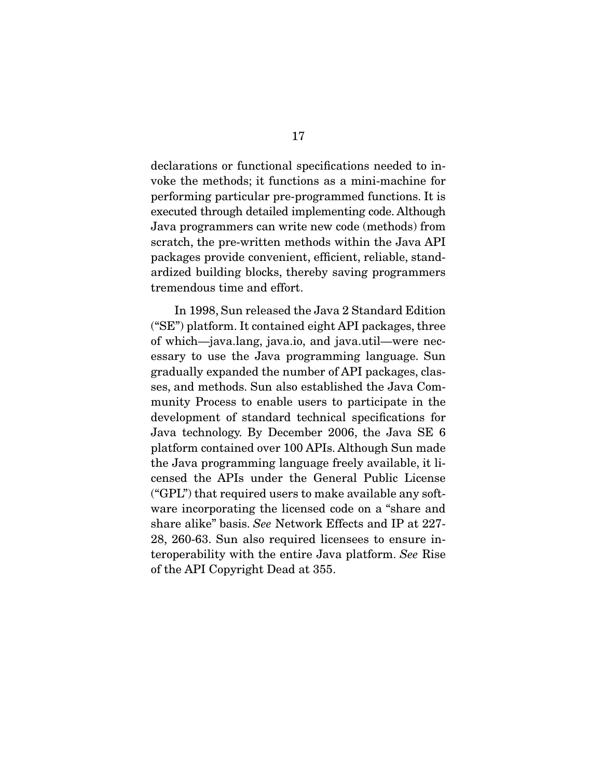declarations or functional specifications needed to invoke the methods; it functions as a mini-machine for performing particular pre-programmed functions. It is executed through detailed implementing code. Although Java programmers can write new code (methods) from scratch, the pre-written methods within the Java API packages provide convenient, efficient, reliable, standardized building blocks, thereby saving programmers tremendous time and effort.

 In 1998, Sun released the Java 2 Standard Edition ("SE") platform. It contained eight API packages, three of which—java.lang, java.io, and java.util—were necessary to use the Java programming language. Sun gradually expanded the number of API packages, classes, and methods. Sun also established the Java Community Process to enable users to participate in the development of standard technical specifications for Java technology. By December 2006, the Java SE 6 platform contained over 100 APIs. Although Sun made the Java programming language freely available, it licensed the APIs under the General Public License ("GPL") that required users to make available any software incorporating the licensed code on a "share and share alike" basis. *See* Network Effects and IP at 227- 28, 260-63. Sun also required licensees to ensure interoperability with the entire Java platform. *See* Rise of the API Copyright Dead at 355.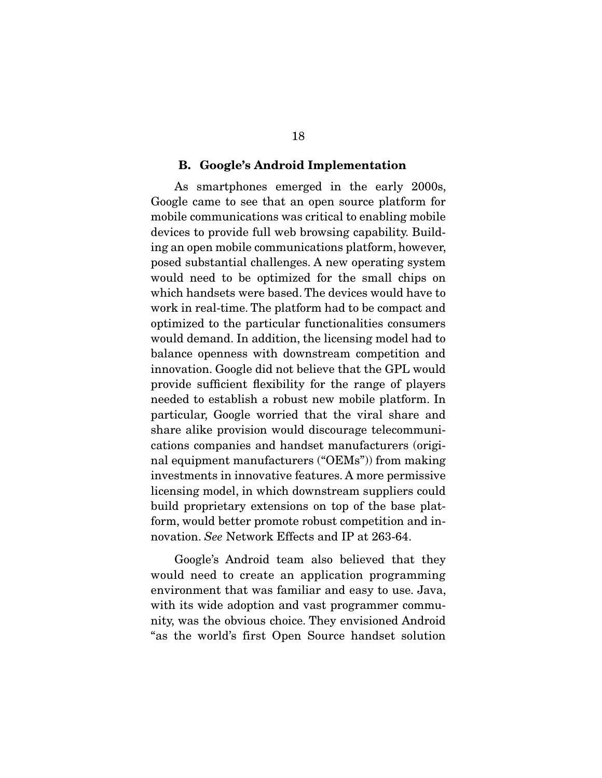#### B. Google's Android Implementation

 As smartphones emerged in the early 2000s, Google came to see that an open source platform for mobile communications was critical to enabling mobile devices to provide full web browsing capability. Building an open mobile communications platform, however, posed substantial challenges. A new operating system would need to be optimized for the small chips on which handsets were based. The devices would have to work in real-time. The platform had to be compact and optimized to the particular functionalities consumers would demand. In addition, the licensing model had to balance openness with downstream competition and innovation. Google did not believe that the GPL would provide sufficient flexibility for the range of players needed to establish a robust new mobile platform. In particular, Google worried that the viral share and share alike provision would discourage telecommunications companies and handset manufacturers (original equipment manufacturers ("OEMs")) from making investments in innovative features. A more permissive licensing model, in which downstream suppliers could build proprietary extensions on top of the base platform, would better promote robust competition and innovation. *See* Network Effects and IP at 263-64.

 Google's Android team also believed that they would need to create an application programming environment that was familiar and easy to use. Java, with its wide adoption and vast programmer community, was the obvious choice. They envisioned Android "as the world's first Open Source handset solution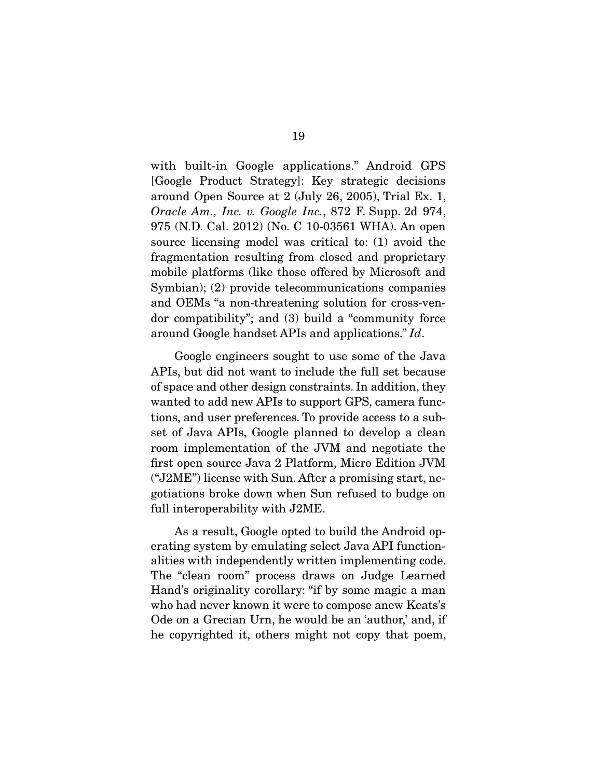with built-in Google applications." Android GPS [Google Product Strategy]: Key strategic decisions around Open Source at 2 (July 26, 2005), Trial Ex. 1, *Oracle Am., Inc. v. Google Inc.*, 872 F. Supp. 2d 974, 975 (N.D. Cal. 2012) (No. C 10-03561 WHA). An open source licensing model was critical to: (1) avoid the fragmentation resulting from closed and proprietary mobile platforms (like those offered by Microsoft and Symbian); (2) provide telecommunications companies and OEMs "a non-threatening solution for cross-vendor compatibility"; and (3) build a "community force around Google handset APIs and applications." *Id*.

 Google engineers sought to use some of the Java APIs, but did not want to include the full set because of space and other design constraints. In addition, they wanted to add new APIs to support GPS, camera functions, and user preferences. To provide access to a subset of Java APIs, Google planned to develop a clean room implementation of the JVM and negotiate the first open source Java 2 Platform, Micro Edition JVM ("J2ME") license with Sun. After a promising start, negotiations broke down when Sun refused to budge on full interoperability with J2ME.

 As a result, Google opted to build the Android operating system by emulating select Java API functionalities with independently written implementing code. The "clean room" process draws on Judge Learned Hand's originality corollary: "if by some magic a man who had never known it were to compose anew Keats's Ode on a Grecian Urn, he would be an 'author,' and, if he copyrighted it, others might not copy that poem,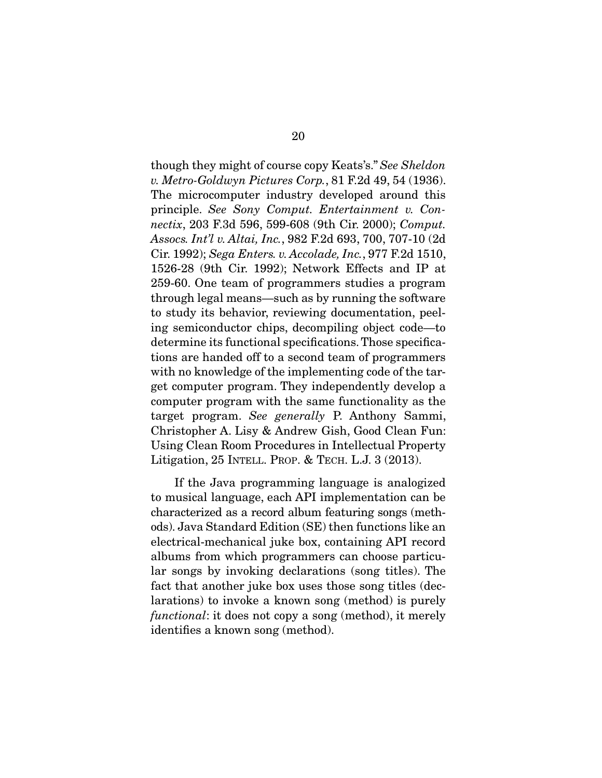though they might of course copy Keats's." *See Sheldon v. Metro-Goldwyn Pictures Corp.*, 81 F.2d 49, 54 (1936). The microcomputer industry developed around this principle. *See Sony Comput. Entertainment v. Connectix*, 203 F.3d 596, 599-608 (9th Cir. 2000); *Comput. Assocs. Int'l v. Altai, Inc.*, 982 F.2d 693, 700, 707-10 (2d Cir. 1992); *Sega Enters. v. Accolade, Inc.*, 977 F.2d 1510, 1526-28 (9th Cir. 1992); Network Effects and IP at 259-60. One team of programmers studies a program through legal means—such as by running the software to study its behavior, reviewing documentation, peeling semiconductor chips, decompiling object code—to determine its functional specifications. Those specifications are handed off to a second team of programmers with no knowledge of the implementing code of the target computer program. They independently develop a computer program with the same functionality as the target program. *See generally* P. Anthony Sammi, Christopher A. Lisy & Andrew Gish, Good Clean Fun: Using Clean Room Procedures in Intellectual Property Litigation, 25 INTELL. PROP. & TECH. L.J. 3 (2013).

 If the Java programming language is analogized to musical language, each API implementation can be characterized as a record album featuring songs (methods). Java Standard Edition (SE) then functions like an electrical-mechanical juke box, containing API record albums from which programmers can choose particular songs by invoking declarations (song titles). The fact that another juke box uses those song titles (declarations) to invoke a known song (method) is purely *functional*: it does not copy a song (method), it merely identifies a known song (method).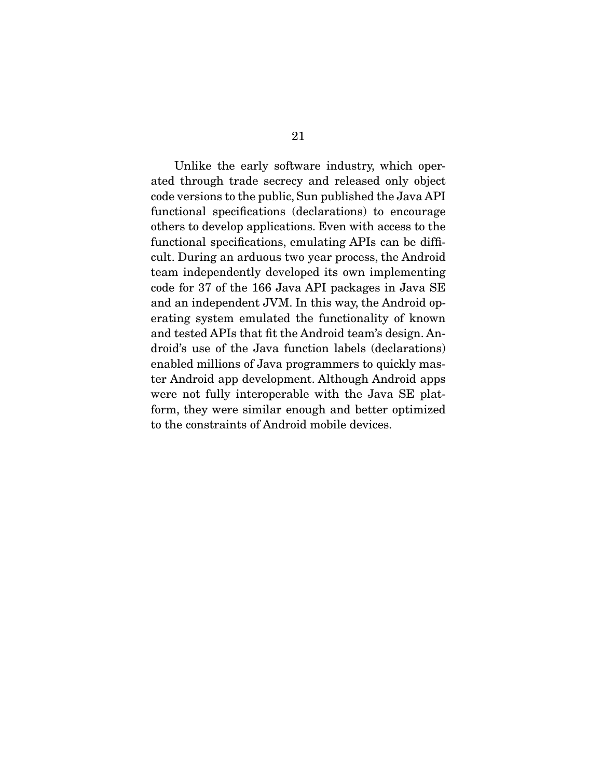Unlike the early software industry, which operated through trade secrecy and released only object code versions to the public, Sun published the Java API functional specifications (declarations) to encourage others to develop applications. Even with access to the functional specifications, emulating APIs can be difficult. During an arduous two year process, the Android team independently developed its own implementing code for 37 of the 166 Java API packages in Java SE and an independent JVM. In this way, the Android operating system emulated the functionality of known and tested APIs that fit the Android team's design. Android's use of the Java function labels (declarations) enabled millions of Java programmers to quickly master Android app development. Although Android apps were not fully interoperable with the Java SE platform, they were similar enough and better optimized to the constraints of Android mobile devices.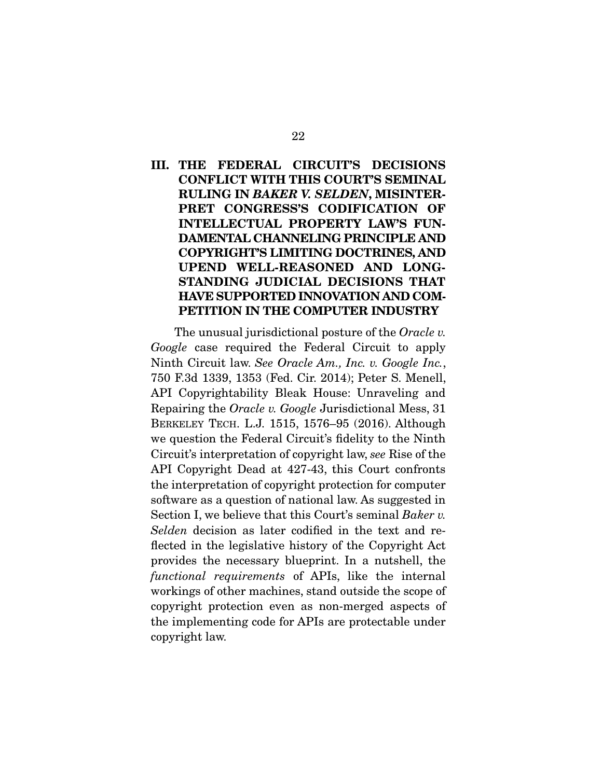III. THE FEDERAL CIRCUIT'S DECISIONS CONFLICT WITH THIS COURT'S SEMINAL RULING IN *BAKER V. SELDEN*, MISINTER-PRET CONGRESS'S CODIFICATION OF INTELLECTUAL PROPERTY LAW'S FUN-DAMENTAL CHANNELING PRINCIPLE AND COPYRIGHT'S LIMITING DOCTRINES, AND UPEND WELL-REASONED AND LONG-STANDING JUDICIAL DECISIONS THAT HAVE SUPPORTED INNOVATION AND COM-PETITION IN THE COMPUTER INDUSTRY

 The unusual jurisdictional posture of the *Oracle v. Google* case required the Federal Circuit to apply Ninth Circuit law. *See Oracle Am., Inc. v. Google Inc.*, 750 F.3d 1339, 1353 (Fed. Cir. 2014); Peter S. Menell, API Copyrightability Bleak House: Unraveling and Repairing the *Oracle v. Google* Jurisdictional Mess, 31 BERKELEY TECH. L.J. 1515, 1576–95 (2016). Although we question the Federal Circuit's fidelity to the Ninth Circuit's interpretation of copyright law, *see* Rise of the API Copyright Dead at 427-43, this Court confronts the interpretation of copyright protection for computer software as a question of national law. As suggested in Section I, we believe that this Court's seminal *Baker v. Selden* decision as later codified in the text and reflected in the legislative history of the Copyright Act provides the necessary blueprint. In a nutshell, the *functional requirements* of APIs, like the internal workings of other machines, stand outside the scope of copyright protection even as non-merged aspects of the implementing code for APIs are protectable under copyright law.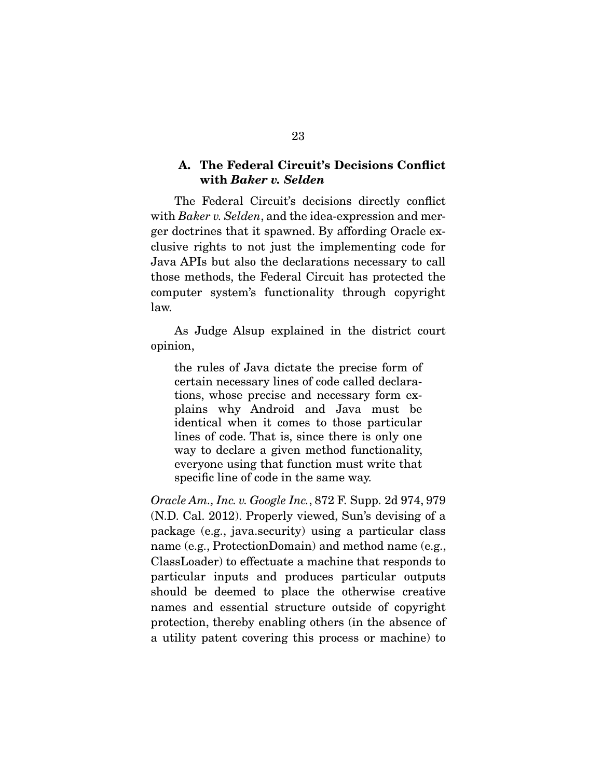## A. The Federal Circuit's Decisions Conflict with *Baker v. Selden*

 The Federal Circuit's decisions directly conflict with *Baker v. Selden*, and the idea-expression and merger doctrines that it spawned. By affording Oracle exclusive rights to not just the implementing code for Java APIs but also the declarations necessary to call those methods, the Federal Circuit has protected the computer system's functionality through copyright law.

 As Judge Alsup explained in the district court opinion,

the rules of Java dictate the precise form of certain necessary lines of code called declarations, whose precise and necessary form explains why Android and Java must be identical when it comes to those particular lines of code. That is, since there is only one way to declare a given method functionality, everyone using that function must write that specific line of code in the same way.

*Oracle Am., Inc. v. Google Inc.*, 872 F. Supp. 2d 974, 979 (N.D. Cal. 2012). Properly viewed, Sun's devising of a package (e.g., java.security) using a particular class name (e.g., ProtectionDomain) and method name (e.g., ClassLoader) to effectuate a machine that responds to particular inputs and produces particular outputs should be deemed to place the otherwise creative names and essential structure outside of copyright protection, thereby enabling others (in the absence of a utility patent covering this process or machine) to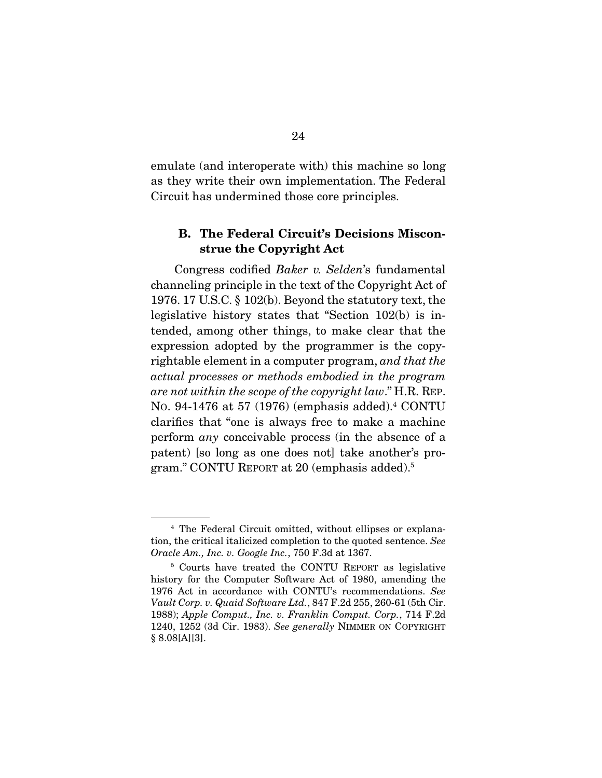emulate (and interoperate with) this machine so long as they write their own implementation. The Federal Circuit has undermined those core principles.

## B. The Federal Circuit's Decisions Misconstrue the Copyright Act

 Congress codified *Baker v. Selden*'s fundamental channeling principle in the text of the Copyright Act of 1976. 17 U.S.C. § 102(b). Beyond the statutory text, the legislative history states that "Section 102(b) is intended, among other things, to make clear that the expression adopted by the programmer is the copyrightable element in a computer program, *and that the actual processes or methods embodied in the program are not within the scope of the copyright law*." H.R. REP. NO. 94-1476 at 57 (1976) (emphasis added).4 CONTU clarifies that "one is always free to make a machine perform *any* conceivable process (in the absence of a patent) [so long as one does not] take another's program." CONTU REPORT at 20 (emphasis added).5

<sup>4</sup> The Federal Circuit omitted, without ellipses or explanation, the critical italicized completion to the quoted sentence. *See Oracle Am., Inc. v. Google Inc.*, 750 F.3d at 1367.

<sup>5</sup> Courts have treated the CONTU REPORT as legislative history for the Computer Software Act of 1980, amending the 1976 Act in accordance with CONTU's recommendations. *See Vault Corp. v. Quaid Software Ltd.*, 847 F.2d 255, 260-61 (5th Cir. 1988); *Apple Comput., Inc. v. Franklin Comput. Corp.*, 714 F.2d 1240, 1252 (3d Cir. 1983). *See generally* NIMMER ON COPYRIGHT  $§ 8.08[A][3]$ .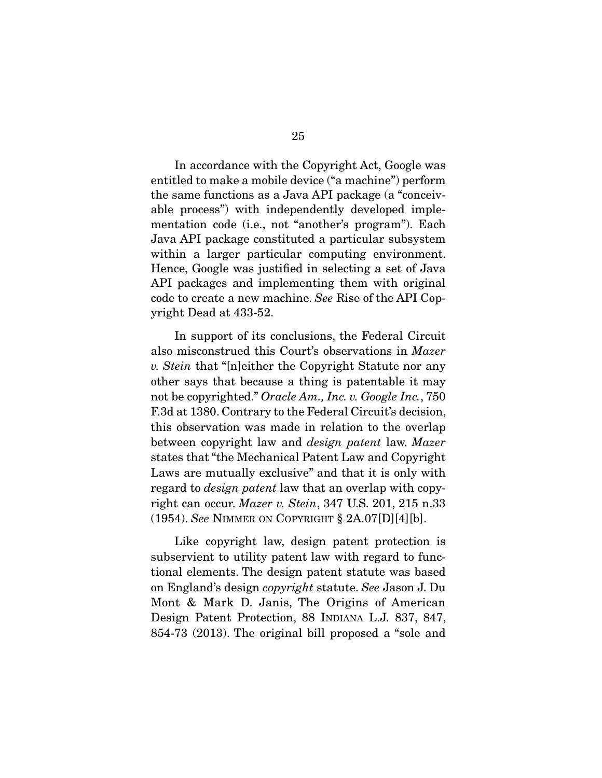In accordance with the Copyright Act, Google was entitled to make a mobile device ("a machine") perform the same functions as a Java API package (a "conceivable process") with independently developed implementation code (i.e., not "another's program"). Each Java API package constituted a particular subsystem within a larger particular computing environment. Hence, Google was justified in selecting a set of Java API packages and implementing them with original code to create a new machine. *See* Rise of the API Copyright Dead at 433-52.

 In support of its conclusions, the Federal Circuit also misconstrued this Court's observations in *Mazer v. Stein* that "[n]either the Copyright Statute nor any other says that because a thing is patentable it may not be copyrighted." *Oracle Am., Inc. v. Google Inc.*, 750 F.3d at 1380. Contrary to the Federal Circuit's decision, this observation was made in relation to the overlap between copyright law and *design patent* law. *Mazer* states that "the Mechanical Patent Law and Copyright Laws are mutually exclusive" and that it is only with regard to *design patent* law that an overlap with copyright can occur. *Mazer v. Stein*, 347 U.S. 201, 215 n.33 (1954). *See* NIMMER ON COPYRIGHT § 2A.07[D][4][b].

 Like copyright law, design patent protection is subservient to utility patent law with regard to functional elements. The design patent statute was based on England's design *copyright* statute. *See* Jason J. Du Mont & Mark D. Janis, The Origins of American Design Patent Protection, 88 INDIANA L.J. 837, 847, 854-73 (2013). The original bill proposed a "sole and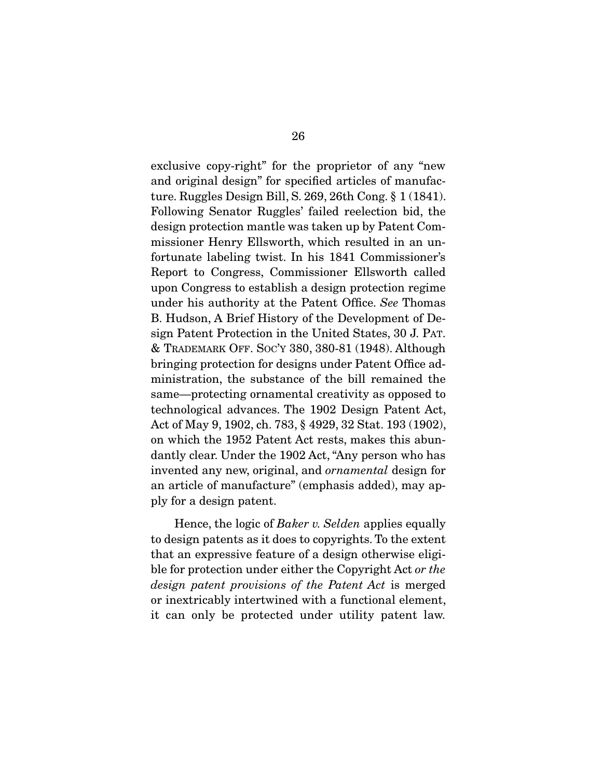exclusive copy-right" for the proprietor of any "new and original design" for specified articles of manufacture. Ruggles Design Bill, S. 269, 26th Cong. § 1 (1841). Following Senator Ruggles' failed reelection bid, the design protection mantle was taken up by Patent Commissioner Henry Ellsworth, which resulted in an unfortunate labeling twist. In his 1841 Commissioner's Report to Congress, Commissioner Ellsworth called upon Congress to establish a design protection regime under his authority at the Patent Office. *See* Thomas B. Hudson, A Brief History of the Development of Design Patent Protection in the United States, 30 J. PAT. & TRADEMARK OFF. SOC'Y 380, 380-81 (1948). Although bringing protection for designs under Patent Office administration, the substance of the bill remained the same—protecting ornamental creativity as opposed to technological advances. The 1902 Design Patent Act, Act of May 9, 1902, ch. 783, § 4929, 32 Stat. 193 (1902), on which the 1952 Patent Act rests, makes this abundantly clear. Under the 1902 Act, "Any person who has invented any new, original, and *ornamental* design for an article of manufacture" (emphasis added), may apply for a design patent.

 Hence, the logic of *Baker v. Selden* applies equally to design patents as it does to copyrights. To the extent that an expressive feature of a design otherwise eligible for protection under either the Copyright Act *or the design patent provisions of the Patent Act* is merged or inextricably intertwined with a functional element, it can only be protected under utility patent law.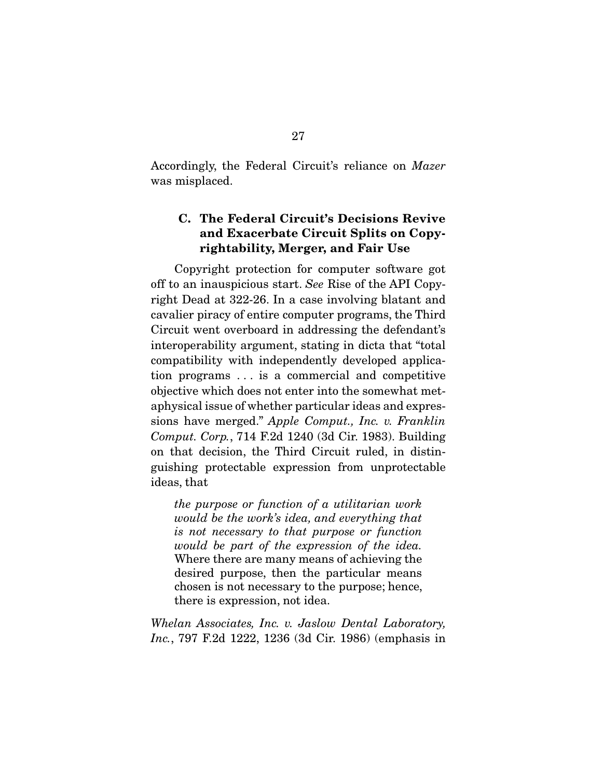Accordingly, the Federal Circuit's reliance on *Mazer* was misplaced.

## C. The Federal Circuit's Decisions Revive and Exacerbate Circuit Splits on Copyrightability, Merger, and Fair Use

 Copyright protection for computer software got off to an inauspicious start. *See* Rise of the API Copyright Dead at 322-26. In a case involving blatant and cavalier piracy of entire computer programs, the Third Circuit went overboard in addressing the defendant's interoperability argument, stating in dicta that "total compatibility with independently developed application programs . . . is a commercial and competitive objective which does not enter into the somewhat metaphysical issue of whether particular ideas and expressions have merged." *Apple Comput., Inc. v. Franklin Comput. Corp.*, 714 F.2d 1240 (3d Cir. 1983). Building on that decision, the Third Circuit ruled, in distinguishing protectable expression from unprotectable ideas, that

*the purpose or function of a utilitarian work would be the work's idea, and everything that is not necessary to that purpose or function would be part of the expression of the idea.* Where there are many means of achieving the desired purpose, then the particular means chosen is not necessary to the purpose; hence, there is expression, not idea.

*Whelan Associates, Inc. v. Jaslow Dental Laboratory, Inc.*, 797 F.2d 1222, 1236 (3d Cir. 1986) (emphasis in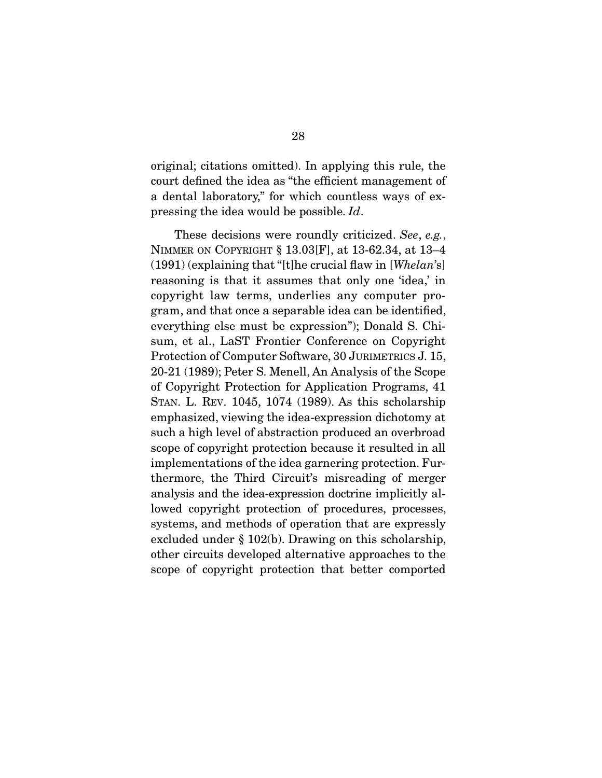original; citations omitted). In applying this rule, the court defined the idea as "the efficient management of a dental laboratory," for which countless ways of expressing the idea would be possible. *Id*.

 These decisions were roundly criticized. *See*, *e.g.*, NIMMER ON COPYRIGHT § 13.03[F], at 13-62.34, at 13–4 (1991) (explaining that "[t]he crucial flaw in [*Whelan*'s] reasoning is that it assumes that only one 'idea,' in copyright law terms, underlies any computer program, and that once a separable idea can be identified, everything else must be expression"); Donald S. Chisum, et al., LaST Frontier Conference on Copyright Protection of Computer Software, 30 JURIMETRICS J. 15, 20-21 (1989); Peter S. Menell, An Analysis of the Scope of Copyright Protection for Application Programs, 41 STAN. L. REV. 1045, 1074 (1989). As this scholarship emphasized, viewing the idea-expression dichotomy at such a high level of abstraction produced an overbroad scope of copyright protection because it resulted in all implementations of the idea garnering protection. Furthermore, the Third Circuit's misreading of merger analysis and the idea-expression doctrine implicitly allowed copyright protection of procedures, processes, systems, and methods of operation that are expressly excluded under § 102(b). Drawing on this scholarship, other circuits developed alternative approaches to the scope of copyright protection that better comported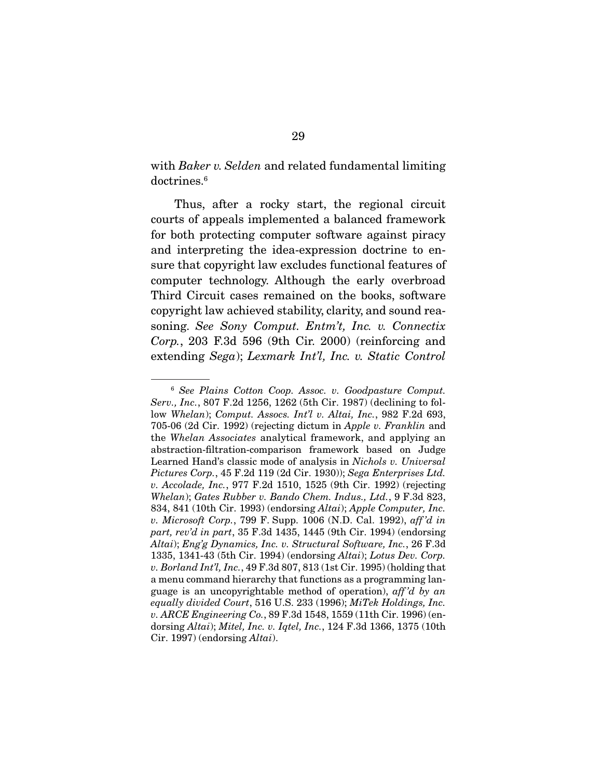with *Baker v. Selden* and related fundamental limiting doctrines.6

 Thus, after a rocky start, the regional circuit courts of appeals implemented a balanced framework for both protecting computer software against piracy and interpreting the idea-expression doctrine to ensure that copyright law excludes functional features of computer technology. Although the early overbroad Third Circuit cases remained on the books, software copyright law achieved stability, clarity, and sound reasoning. *See Sony Comput. Entm't, Inc. v. Connectix Corp.*, 203 F.3d 596 (9th Cir. 2000) (reinforcing and extending *Sega*); *Lexmark Int'l, Inc. v. Static Control* 

<sup>6</sup> *See Plains Cotton Coop. Assoc. v. Goodpasture Comput. Serv., Inc.*, 807 F.2d 1256, 1262 (5th Cir. 1987) (declining to follow *Whelan*); *Comput. Assocs. Int'l v. Altai, Inc.*, 982 F.2d 693, 705-06 (2d Cir. 1992) (rejecting dictum in *Apple v. Franklin* and the *Whelan Associates* analytical framework, and applying an abstraction-filtration-comparison framework based on Judge Learned Hand's classic mode of analysis in *Nichols v. Universal Pictures Corp.*, 45 F.2d 119 (2d Cir. 1930)); *Sega Enterprises Ltd. v. Accolade, Inc.*, 977 F.2d 1510, 1525 (9th Cir. 1992) (rejecting *Whelan*); *Gates Rubber v. Bando Chem. Indus., Ltd.*, 9 F.3d 823, 834, 841 (10th Cir. 1993) (endorsing *Altai*); *Apple Computer, Inc. v. Microsoft Corp.*, 799 F. Supp. 1006 (N.D. Cal. 1992), *aff 'd in part, rev'd in part*, 35 F.3d 1435, 1445 (9th Cir. 1994) (endorsing *Altai*); *Eng'g Dynamics, Inc. v. Structural Software, Inc.*, 26 F.3d 1335, 1341-43 (5th Cir. 1994) (endorsing *Altai*); *Lotus Dev. Corp. v. Borland Int'l, Inc.*, 49 F.3d 807, 813 (1st Cir. 1995) (holding that a menu command hierarchy that functions as a programming language is an uncopyrightable method of operation), *aff 'd by an equally divided Court*, 516 U.S. 233 (1996); *MiTek Holdings, Inc. v. ARCE Engineering Co.*, 89 F.3d 1548, 1559 (11th Cir. 1996) (endorsing *Altai*); *Mitel, Inc. v. Iqtel, Inc.*, 124 F.3d 1366, 1375 (10th Cir. 1997) (endorsing *Altai*).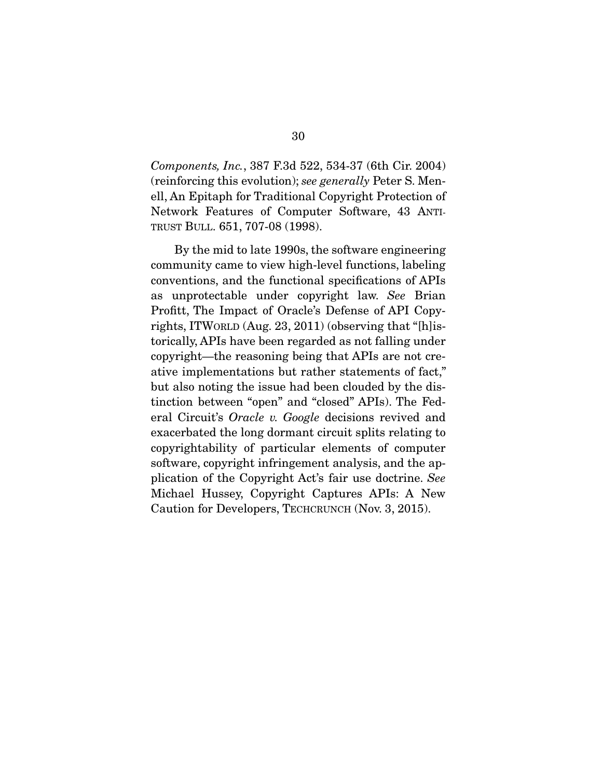*Components, Inc.*, 387 F.3d 522, 534-37 (6th Cir. 2004) (reinforcing this evolution); *see generally* Peter S. Menell, An Epitaph for Traditional Copyright Protection of Network Features of Computer Software, 43 ANTI-TRUST BULL. 651, 707-08 (1998).

 By the mid to late 1990s, the software engineering community came to view high-level functions, labeling conventions, and the functional specifications of APIs as unprotectable under copyright law. *See* Brian Profitt, The Impact of Oracle's Defense of API Copyrights, ITWORLD (Aug. 23, 2011) (observing that "[h]istorically, APIs have been regarded as not falling under copyright—the reasoning being that APIs are not creative implementations but rather statements of fact," but also noting the issue had been clouded by the distinction between "open" and "closed" APIs). The Federal Circuit's *Oracle v. Google* decisions revived and exacerbated the long dormant circuit splits relating to copyrightability of particular elements of computer software, copyright infringement analysis, and the application of the Copyright Act's fair use doctrine. *See* Michael Hussey, Copyright Captures APIs: A New Caution for Developers, TECHCRUNCH (Nov. 3, 2015).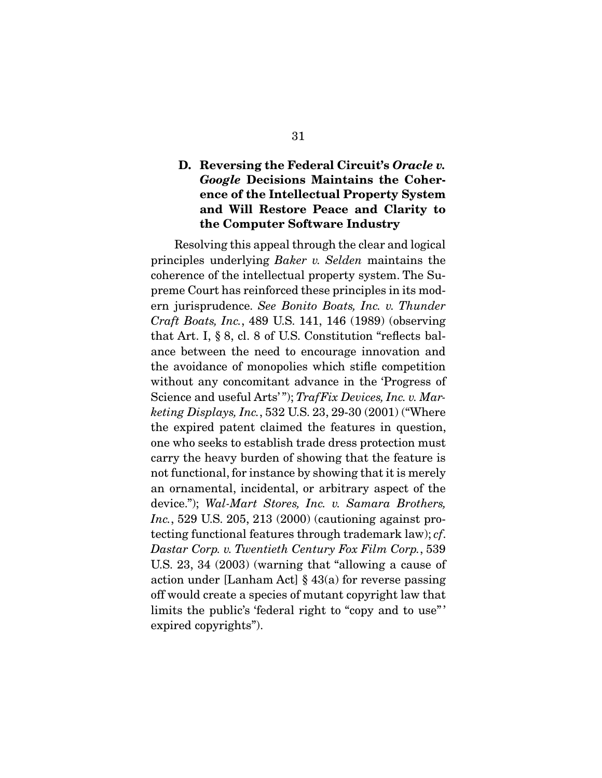## D. Reversing the Federal Circuit's *Oracle v. Google* Decisions Maintains the Coherence of the Intellectual Property System and Will Restore Peace and Clarity to the Computer Software Industry

 Resolving this appeal through the clear and logical principles underlying *Baker v. Selden* maintains the coherence of the intellectual property system. The Supreme Court has reinforced these principles in its modern jurisprudence. *See Bonito Boats, Inc. v. Thunder Craft Boats, Inc.*, 489 U.S. 141, 146 (1989) (observing that Art. I, § 8, cl. 8 of U.S. Constitution "reflects balance between the need to encourage innovation and the avoidance of monopolies which stifle competition without any concomitant advance in the 'Progress of Science and useful Arts'"); *TrafFix Devices, Inc. v. Marketing Displays, Inc.*, 532 U.S. 23, 29-30 (2001) ("Where the expired patent claimed the features in question, one who seeks to establish trade dress protection must carry the heavy burden of showing that the feature is not functional, for instance by showing that it is merely an ornamental, incidental, or arbitrary aspect of the device."); *Wal-Mart Stores, Inc. v. Samara Brothers, Inc.*, 529 U.S. 205, 213 (2000) (cautioning against protecting functional features through trademark law); *cf*. *Dastar Corp. v. Twentieth Century Fox Film Corp.*, 539 U.S. 23, 34 (2003) (warning that "allowing a cause of action under [Lanham Act] § 43(a) for reverse passing off would create a species of mutant copyright law that limits the public's 'federal right to "copy and to use"' expired copyrights").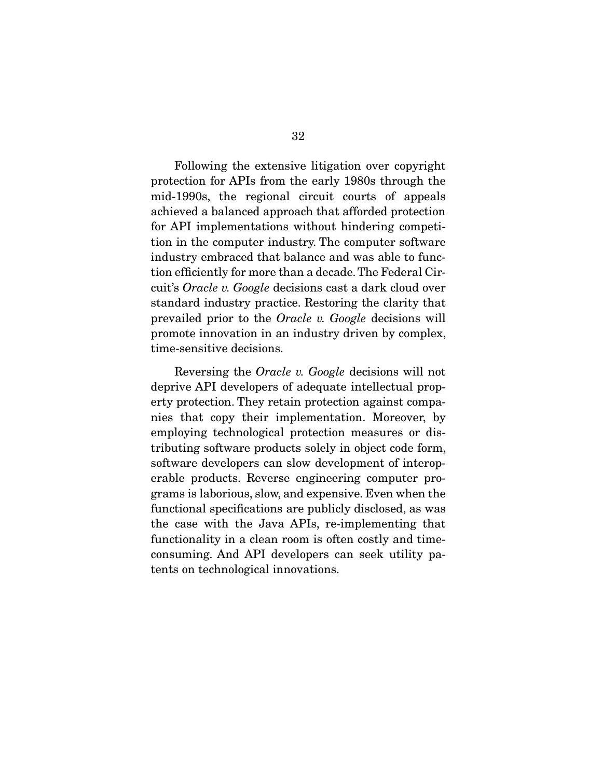Following the extensive litigation over copyright protection for APIs from the early 1980s through the mid-1990s, the regional circuit courts of appeals achieved a balanced approach that afforded protection for API implementations without hindering competition in the computer industry. The computer software industry embraced that balance and was able to function efficiently for more than a decade. The Federal Circuit's *Oracle v. Google* decisions cast a dark cloud over standard industry practice. Restoring the clarity that prevailed prior to the *Oracle v. Google* decisions will promote innovation in an industry driven by complex, time-sensitive decisions.

 Reversing the *Oracle v. Google* decisions will not deprive API developers of adequate intellectual property protection. They retain protection against companies that copy their implementation. Moreover, by employing technological protection measures or distributing software products solely in object code form, software developers can slow development of interoperable products. Reverse engineering computer programs is laborious, slow, and expensive. Even when the functional specifications are publicly disclosed, as was the case with the Java APIs, re-implementing that functionality in a clean room is often costly and timeconsuming. And API developers can seek utility patents on technological innovations.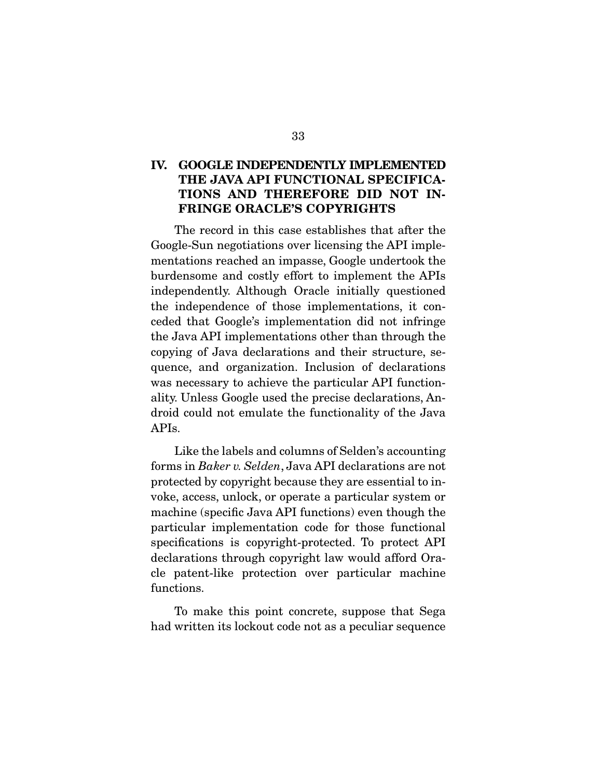## IV. GOOGLE INDEPENDENTLY IMPLEMENTED THE JAVA API FUNCTIONAL SPECIFICA-TIONS AND THEREFORE DID NOT IN-FRINGE ORACLE'S COPYRIGHTS

 The record in this case establishes that after the Google-Sun negotiations over licensing the API implementations reached an impasse, Google undertook the burdensome and costly effort to implement the APIs independently. Although Oracle initially questioned the independence of those implementations, it conceded that Google's implementation did not infringe the Java API implementations other than through the copying of Java declarations and their structure, sequence, and organization. Inclusion of declarations was necessary to achieve the particular API functionality. Unless Google used the precise declarations, Android could not emulate the functionality of the Java APIs.

 Like the labels and columns of Selden's accounting forms in *Baker v. Selden*, Java API declarations are not protected by copyright because they are essential to invoke, access, unlock, or operate a particular system or machine (specific Java API functions) even though the particular implementation code for those functional specifications is copyright-protected. To protect API declarations through copyright law would afford Oracle patent-like protection over particular machine functions.

 To make this point concrete, suppose that Sega had written its lockout code not as a peculiar sequence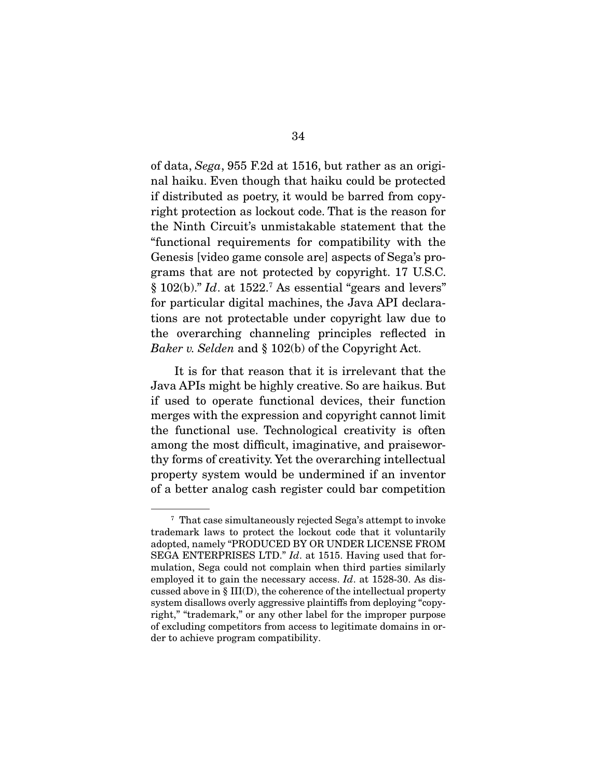of data, *Sega*, 955 F.2d at 1516, but rather as an original haiku. Even though that haiku could be protected if distributed as poetry, it would be barred from copyright protection as lockout code. That is the reason for the Ninth Circuit's unmistakable statement that the "functional requirements for compatibility with the Genesis [video game console are] aspects of Sega's programs that are not protected by copyright. 17 U.S.C. § 102(b)." *Id.* at 1522.<sup>7</sup> As essential "gears and levers" for particular digital machines, the Java API declarations are not protectable under copyright law due to the overarching channeling principles reflected in *Baker v. Selden* and § 102(b) of the Copyright Act.

 It is for that reason that it is irrelevant that the Java APIs might be highly creative. So are haikus. But if used to operate functional devices, their function merges with the expression and copyright cannot limit the functional use. Technological creativity is often among the most difficult, imaginative, and praiseworthy forms of creativity. Yet the overarching intellectual property system would be undermined if an inventor of a better analog cash register could bar competition

<sup>7</sup> That case simultaneously rejected Sega's attempt to invoke trademark laws to protect the lockout code that it voluntarily adopted, namely "PRODUCED BY OR UNDER LICENSE FROM SEGA ENTERPRISES LTD." *Id*. at 1515. Having used that formulation, Sega could not complain when third parties similarly employed it to gain the necessary access. *Id*. at 1528-30. As discussed above in § III(D), the coherence of the intellectual property system disallows overly aggressive plaintiffs from deploying "copyright," "trademark," or any other label for the improper purpose of excluding competitors from access to legitimate domains in order to achieve program compatibility.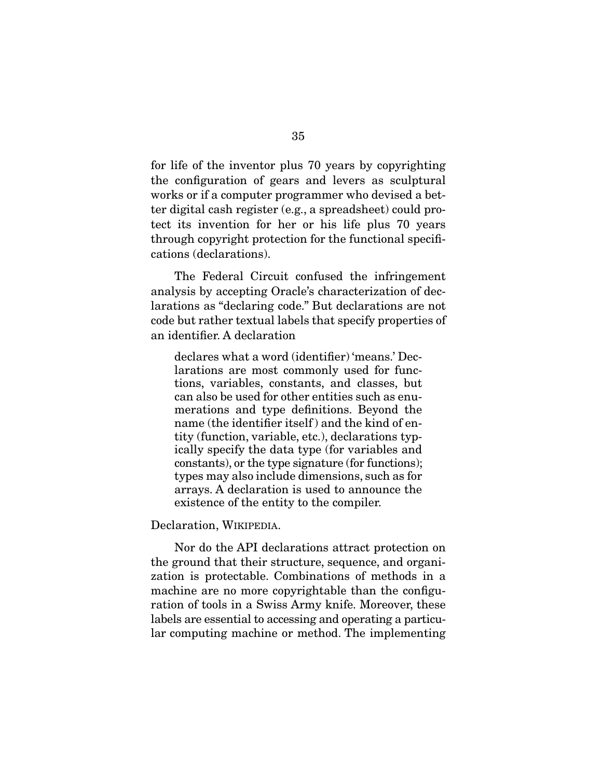for life of the inventor plus 70 years by copyrighting the configuration of gears and levers as sculptural works or if a computer programmer who devised a better digital cash register (e.g., a spreadsheet) could protect its invention for her or his life plus 70 years through copyright protection for the functional specifications (declarations).

 The Federal Circuit confused the infringement analysis by accepting Oracle's characterization of declarations as "declaring code." But declarations are not code but rather textual labels that specify properties of an identifier. A declaration

declares what a word (identifier) 'means.' Declarations are most commonly used for functions, variables, constants, and classes, but can also be used for other entities such as enumerations and type definitions. Beyond the name (the identifier itself) and the kind of entity (function, variable, etc.), declarations typically specify the data type (for variables and constants), or the type signature (for functions); types may also include dimensions, such as for arrays. A declaration is used to announce the existence of the entity to the compiler.

Declaration, WIKIPEDIA.

 Nor do the API declarations attract protection on the ground that their structure, sequence, and organization is protectable. Combinations of methods in a machine are no more copyrightable than the configuration of tools in a Swiss Army knife. Moreover, these labels are essential to accessing and operating a particular computing machine or method. The implementing